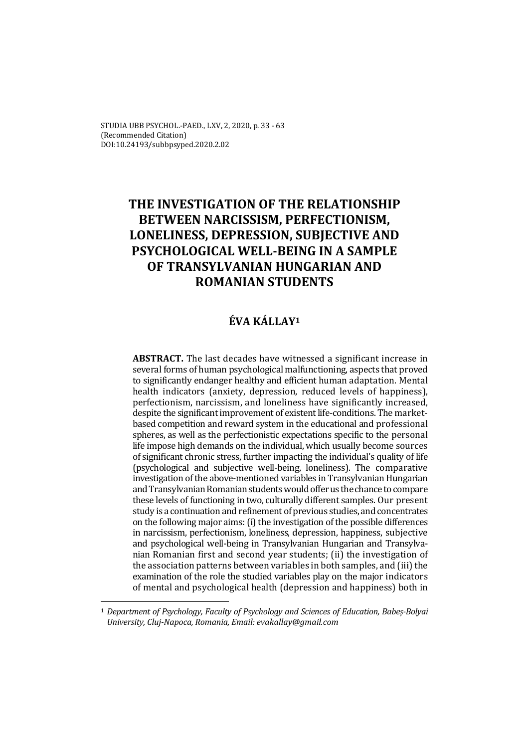STUDIA UBB PSYCHOL.-PAED., LXV, 2, 2020, p. 33 - 63 (Recommended Citation) DOI:10.24193/subbpsyped.2020.2.02

# **THE INVESTIGATION OF THE RELATIONSHIP BETWEEN NARCISSISM, PERFECTIONISM, LONELINESS, DEPRESSION, SUBJECTIVE AND PSYCHOLOGICAL WELL-BEING IN A SAMPLE OF TRANSYLVANIAN HUNGARIAN AND ROMANIAN STUDENTS**

# **ÉVA KÁLLAY1**

**ABSTRACT.** The last decades have witnessed a significant increase in several forms of human psychological malfunctioning, aspects that proved to significantly endanger healthy and efficient human adaptation. Mental health indicators (anxiety, depression, reduced levels of happiness), perfectionism, narcissism, and loneliness have significantly increased, despite the significant improvement of existent life-conditions. The marketbased competition and reward system in the educational and professional spheres, as well as the perfectionistic expectations specific to the personal life impose high demands on the individual, which usually become sources of significant chronic stress, further impacting the individual's quality of life (psychological and subjective well-being, loneliness). The comparative investigation of the above-mentioned variables in Transylvanian Hungarian and Transylvanian Romanian students would offer us the chance to compare these levels of functioning in two, culturally different samples. Our present study is a continuation and refinement of previous studies, and concentrates on the following major aims: (i) the investigation of the possible differences in narcissism, perfectionism, loneliness, depression, happiness, subjective and psychological well-being in Transylvanian Hungarian and Transylvanian Romanian first and second year students; (ii) the investigation of the association patterns between variables in both samples, and (iii) the examination of the role the studied variables play on the major indicators of mental and psychological health (depression and happiness) both in

 $\overline{a}$ 

<sup>1</sup> *Department of Psychology, Faculty of Psychology and Sciences of Education, Babeș-Bolyai University, Cluj-Napoca, Romania, Email: evakallay@gmail.com*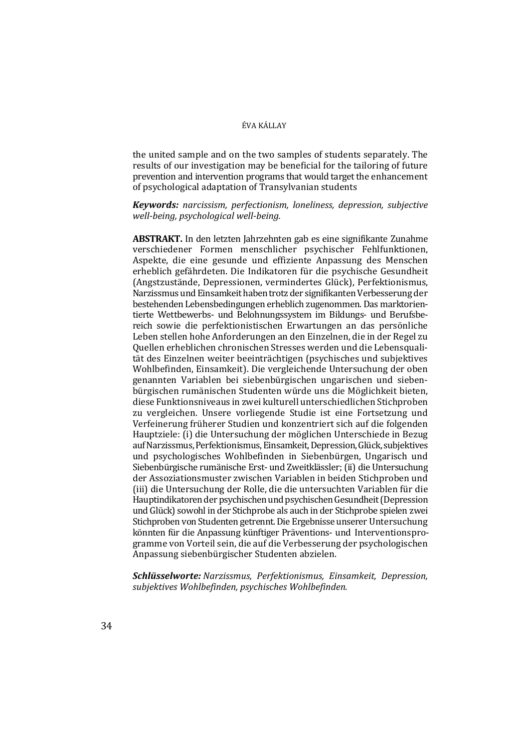the united sample and on the two samples of students separately. The results of our investigation may be beneficial for the tailoring of future prevention and intervention programs that would target the enhancement of psychological adaptation of Transylvanian students

*Keywords: narcissism, perfectionism, loneliness, depression, subjective well-being, psychological well-being.* 

**ABSTRAKT.** In den letzten Jahrzehnten gab es eine signifikante Zunahme verschiedener Formen menschlicher psychischer Fehlfunktionen, Aspekte, die eine gesunde und effiziente Anpassung des Menschen erheblich gefährdeten. Die Indikatoren für die psychische Gesundheit (Angstzustände, Depressionen, vermindertes Glück), Perfektionismus, Narzissmus und Einsamkeit haben trotz der signifikanten Verbesserung der bestehenden Lebensbedingungen erheblich zugenommen. Das marktorientierte Wettbewerbs- und Belohnungssystem im Bildungs- und Berufsbereich sowie die perfektionistischen Erwartungen an das persönliche Leben stellen hohe Anforderungen an den Einzelnen, die in der Regel zu Quellen erheblichen chronischen Stresses werden und die Lebensqualität des Einzelnen weiter beeinträchtigen (psychisches und subjektives Wohlbefinden, Einsamkeit). Die vergleichende Untersuchung der oben genannten Variablen bei siebenbürgischen ungarischen und siebenbürgischen rumänischen Studenten würde uns die Möglichkeit bieten, diese Funktionsniveaus in zwei kulturell unterschiedlichen Stichproben zu vergleichen. Unsere vorliegende Studie ist eine Fortsetzung und Verfeinerung früherer Studien und konzentriert sich auf die folgenden Hauptziele: (i) die Untersuchung der möglichen Unterschiede in Bezug auf Narzissmus, Perfektionismus, Einsamkeit, Depression, Glück, subjektives und psychologisches Wohlbefinden in Siebenbürgen, Ungarisch und Siebenbürgische rumänische Erst- und Zweitklässler; (ii) die Untersuchung der Assoziationsmuster zwischen Variablen in beiden Stichproben und (iii) die Untersuchung der Rolle, die die untersuchten Variablen für die Hauptindikatoren der psychischen und psychischen Gesundheit (Depression und Glück) sowohl in der Stichprobe als auch in der Stichprobe spielen zwei Stichproben von Studenten getrennt. Die Ergebnisse unserer Untersuchung könnten für die Anpassung künftiger Präventions- und Interventionsprogramme von Vorteil sein, die auf die Verbesserung der psychologischen Anpassung siebenbürgischer Studenten abzielen.

*Schlüsselworte: Narzissmus, Perfektionismus, Einsamkeit, Depression, subjektives Wohlbefinden, psychisches Wohlbefinden.*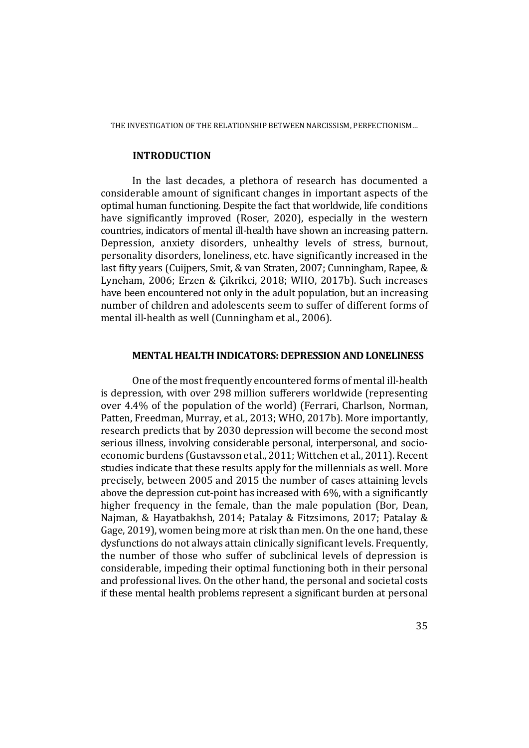## **INTRODUCTION**

In the last decades, a plethora of research has documented a considerable amount of significant changes in important aspects of the optimal human functioning. Despite the fact that worldwide, life conditions have significantly improved (Roser, 2020), especially in the western countries, indicators of mental ill-health have shown an increasing pattern. Depression, anxiety disorders, unhealthy levels of stress, burnout, personality disorders, loneliness, etc. have significantly increased in the last fifty years (Cuijpers, Smit, & van Straten, 2007; Cunningham, Rapee, & Lyneham, 2006; Erzen & Çikrikci, 2018; WHO, 2017b). Such increases have been encountered not only in the adult population, but an increasing number of children and adolescents seem to suffer of different forms of mental ill-health as well (Cunningham et al., 2006).

## **MENTAL HEALTH INDICATORS: DEPRESSION AND LONELINESS**

One of the most frequently encountered forms of mental ill-health is depression, with over 298 million sufferers worldwide (representing over 4.4% of the population of the world) (Ferrari, Charlson, Norman, Patten, Freedman, Murray, et al., 2013; WHO, 2017b). More importantly, research predicts that by 2030 depression will become the second most serious illness, involving considerable personal, interpersonal, and socioeconomic burdens (Gustavsson et al., 2011; Wittchen et al., 2011). Recent studies indicate that these results apply for the millennials as well. More precisely, between 2005 and 2015 the number of cases attaining levels above the depression cut-point has increased with 6%, with a significantly higher frequency in the female, than the male population (Bor, Dean, Najman, & Hayatbakhsh, 2014; Patalay & Fitzsimons, 2017; Patalay & Gage, 2019), women being more at risk than men. On the one hand, these dysfunctions do not always attain clinically significant levels. Frequently, the number of those who suffer of subclinical levels of depression is considerable, impeding their optimal functioning both in their personal and professional lives. On the other hand, the personal and societal costs if these mental health problems represent a significant burden at personal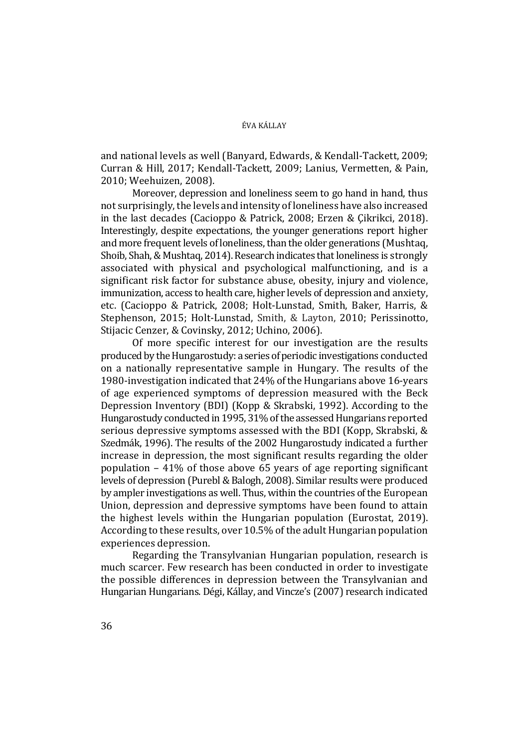and national levels as well (Banyard, Edwards, & Kendall-Tackett, 2009; Curran & Hill, 2017; Kendall-Tackett, 2009; Lanius, Vermetten, & Pain, 2010; Weehuizen, 2008).

Moreover, depression and loneliness seem to go hand in hand, thus not surprisingly, the levels and intensity of loneliness have also increased in the last decades (Cacioppo & Patrick, 2008; Erzen & Çikrikci, 2018). Interestingly, despite expectations, the younger generations report higher and more frequent levels of loneliness, than the older generations (Mushtaq, Shoib, Shah, & Mushtaq, 2014). Research indicates that loneliness is strongly associated with physical and psychological malfunctioning, and is a significant risk factor for substance abuse, obesity, injury and violence, immunization, access to health care, higher levels of depression and anxiety, etc. (Cacioppo & Patrick, 2008; Holt-Lunstad, Smith, Baker, Harris, & Stephenson, 2015; Holt-Lunstad, Smith, & Layton, 2010; Perissinotto, Stijacic Cenzer, & Covinsky, 2012; Uchino, 2006).

Of more specific interest for our investigation are the results produced by the Hungarostudy: a series of periodic investigations conducted on a nationally representative sample in Hungary. The results of the 1980-investigation indicated that 24% of the Hungarians above 16-years of age experienced symptoms of depression measured with the Beck Depression Inventory (BDI) (Kopp & Skrabski, 1992). According to the Hungarostudy conducted in 1995, 31% of the assessed Hungarians reported serious depressive symptoms assessed with the BDI (Kopp, Skrabski, & Szedmák, 1996). The results of the 2002 Hungarostudy indicated a further increase in depression, the most significant results regarding the older population – 41% of those above 65 years of age reporting significant levels of depression (Purebl & Balogh, 2008). Similar results were produced by ampler investigations as well. Thus, within the countries of the European Union, depression and depressive symptoms have been found to attain the highest levels within the Hungarian population (Eurostat, 2019). According to these results, over 10.5% of the adult Hungarian population experiences depression.

Regarding the Transylvanian Hungarian population, research is much scarcer. Few research has been conducted in order to investigate the possible differences in depression between the Transylvanian and Hungarian Hungarians. Dégi, Kállay, and Vincze's (2007) research indicated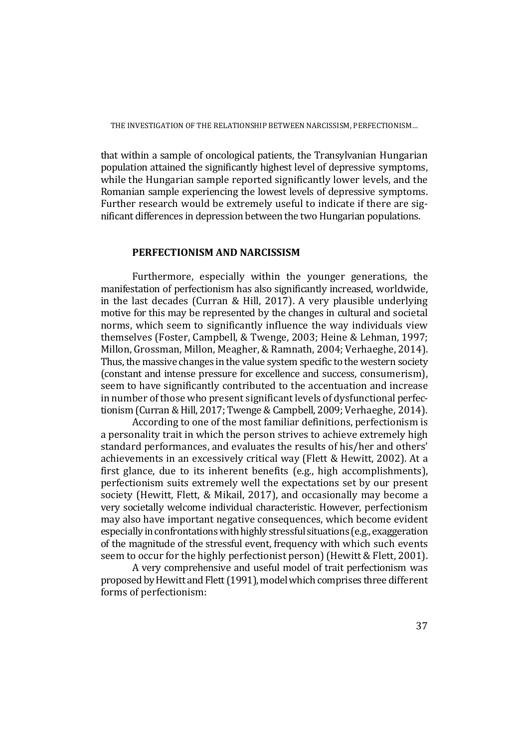that within a sample of oncological patients, the Transylvanian Hungarian population attained the significantly highest level of depressive symptoms, while the Hungarian sample reported significantly lower levels, and the Romanian sample experiencing the lowest levels of depressive symptoms. Further research would be extremely useful to indicate if there are significant differences in depression between the two Hungarian populations.

# **PERFECTIONISM AND NARCISSISM**

Furthermore, especially within the younger generations, the manifestation of perfectionism has also significantly increased, worldwide, in the last decades (Curran & Hill, 2017). A very plausible underlying motive for this may be represented by the changes in cultural and societal norms, which seem to significantly influence the way individuals view themselves (Foster, Campbell, & Twenge, 2003; Heine & Lehman, 1997; Millon, Grossman, Millon, Meagher, & Ramnath, 2004; Verhaeghe, 2014). Thus, the massive changes in the value system specific to the western society (constant and intense pressure for excellence and success, consumerism), seem to have significantly contributed to the accentuation and increase in number of those who present significant levels of dysfunctional perfectionism (Curran & Hill, 2017; Twenge & Campbell, 2009; Verhaeghe, 2014).

According to one of the most familiar definitions, perfectionism is a personality trait in which the person strives to achieve extremely high standard performances, and evaluates the results of his/her and others' achievements in an excessively critical way (Flett & Hewitt, 2002). At a first glance, due to its inherent benefits (e.g., high accomplishments), perfectionism suits extremely well the expectations set by our present society (Hewitt, Flett, & Mikail, 2017), and occasionally may become a very societally welcome individual characteristic. However, perfectionism may also have important negative consequences, which become evident especially in confrontations with highly stressful situations (e.g., exaggeration of the magnitude of the stressful event, frequency with which such events seem to occur for the highly perfectionist person) (Hewitt & Flett, 2001).

A very comprehensive and useful model of trait perfectionism was proposed by Hewitt and Flett (1991), model which comprises three different forms of perfectionism: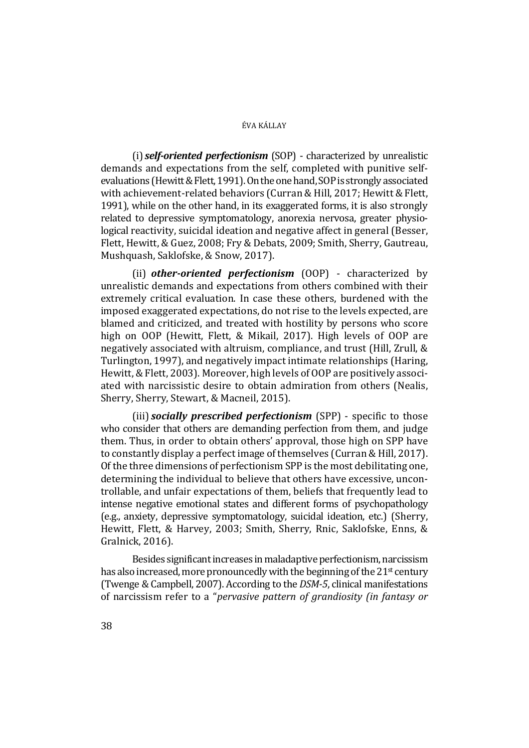(i) *self-oriented perfectionism* (SOP) - characterized by unrealistic demands and expectations from the self, completed with punitive selfevaluations (Hewitt & Flett, 1991). On the one hand, SOP is strongly associated with achievement-related behaviors (Curran & Hill, 2017; Hewitt & Flett, 1991), while on the other hand, in its exaggerated forms, it is also strongly related to depressive symptomatology, anorexia nervosa, greater physiological reactivity, suicidal ideation and negative affect in general (Besser, Flett, Hewitt, & Guez, 2008; Fry & Debats, 2009; Smith, Sherry, Gautreau, Mushquash, Saklofske, & Snow, 2017).

(ii) *other-oriented perfectionism* (OOP) - characterized by unrealistic demands and expectations from others combined with their extremely critical evaluation. In case these others, burdened with the imposed exaggerated expectations, do not rise to the levels expected, are blamed and criticized, and treated with hostility by persons who score high on OOP (Hewitt, Flett, & Mikail, 2017). High levels of OOP are negatively associated with altruism, compliance, and trust (Hill, Zrull, & Turlington, 1997), and negatively impact intimate relationships (Haring, Hewitt, & Flett, 2003). Moreover, high levels of OOP are positively associated with narcissistic desire to obtain admiration from others (Nealis, Sherry, Sherry, Stewart, & Macneil, 2015).

(iii) *socially prescribed perfectionism* (SPP) - specific to those who consider that others are demanding perfection from them, and judge them. Thus, in order to obtain others' approval, those high on SPP have to constantly display a perfect image of themselves (Curran & Hill, 2017). Of the three dimensions of perfectionism SPP is the most debilitating one, determining the individual to believe that others have excessive, uncontrollable, and unfair expectations of them, beliefs that frequently lead to intense negative emotional states and different forms of psychopathology (e.g., anxiety, depressive symptomatology, suicidal ideation, etc.) (Sherry, Hewitt, Flett, & Harvey, 2003; Smith, Sherry, Rnic, Saklofske, Enns, & Gralnick, 2016).

Besides significant increases in maladaptive perfectionism, narcissism has also increased, more pronouncedly with the beginning of the 21<sup>st</sup> century (Twenge & Campbell, 2007). According to the *DSM-5*, clinical manifestations of narcissism refer to a "*pervasive pattern of grandiosity (in fantasy or*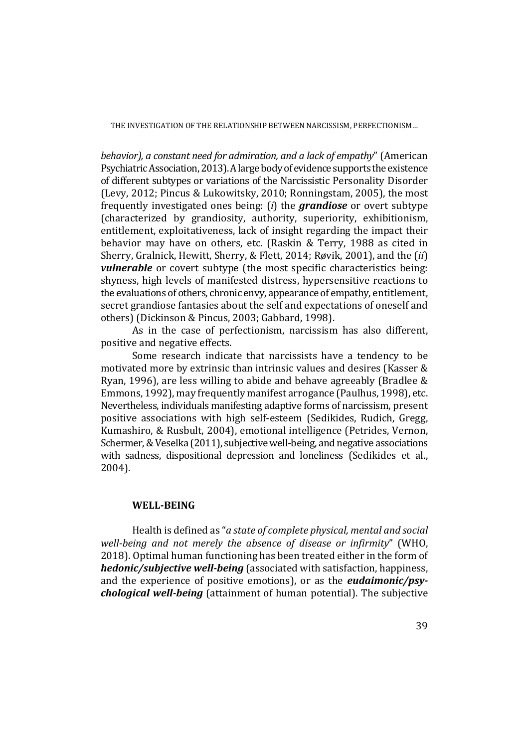*behavior), a constant need for admiration, and a lack of empathy*" (American Psychiatric Association, 2013). A large body of evidence supports the existence of different subtypes or variations of the Narcissistic Personality Disorder (Levy, 2012; Pincus & Lukowitsky, 2010; Ronningstam, 2005), the most frequently investigated ones being: (*i*) the *grandiose* or overt subtype (characterized by grandiosity, authority, superiority, exhibitionism, entitlement, exploitativeness, lack of insight regarding the impact their behavior may have on others, etc. (Raskin & Terry, 1988 as cited in Sherry, Gralnick, Hewitt, Sherry, & Flett, 2014; Røvik, 2001), and the (*ii*) *vulnerable* or covert subtype (the most specific characteristics being: shyness, high levels of manifested distress, hypersensitive reactions to the evaluations of others, chronic envy, appearance of empathy, entitlement, secret grandiose fantasies about the self and expectations of oneself and others) (Dickinson & Pincus, 2003; Gabbard, 1998).

As in the case of perfectionism, narcissism has also different, positive and negative effects.

Some research indicate that narcissists have a tendency to be motivated more by extrinsic than intrinsic values and desires (Kasser & Ryan, 1996), are less willing to abide and behave agreeably (Bradlee & Emmons, 1992), may frequently manifest arrogance (Paulhus, 1998), etc. Nevertheless, individuals manifesting adaptive forms of narcissism, present positive associations with high self-esteem (Sedikides, Rudich, Gregg, Kumashiro, & Rusbult, 2004), emotional intelligence (Petrides, Vernon, Schermer, & Veselka (2011), subjective well-being, and negative associations with sadness, dispositional depression and loneliness (Sedikides et al., 2004).

# **WELL-BEING**

Health is defined as "*a state of complete physical, mental and social well-being and not merely the absence of disease or infirmity*" (WHO, 2018). Optimal human functioning has been treated either in the form of *hedonic/subjective well-being* (associated with satisfaction, happiness, and the experience of positive emotions), or as the *eudaimonic/psychological well-being* (attainment of human potential). The subjective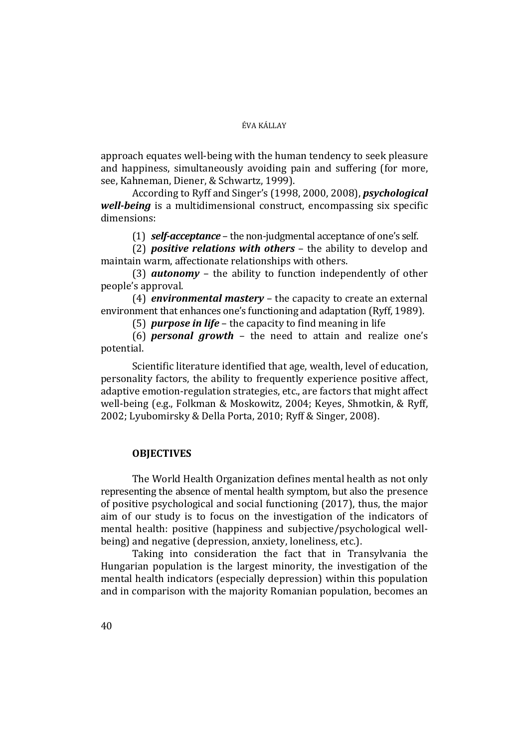approach equates well-being with the human tendency to seek pleasure and happiness, simultaneously avoiding pain and suffering (for more, see, Kahneman, Diener, & Schwartz, 1999).

According to Ryff and Singer's (1998, 2000, 2008), *psychological well-being* is a multidimensional construct, encompassing six specific dimensions:

(1) *self-acceptance* – the non-judgmental acceptance of one's self.

(2) *positive relations with others* – the ability to develop and maintain warm, affectionate relationships with others.

(3) *autonomy* – the ability to function independently of other people's approval.

(4) *environmental mastery* – the capacity to create an external environment that enhances one's functioning and adaptation (Ryff, 1989).

(5) *purpose in life* – the capacity to find meaning in life

(6) *personal growth* – the need to attain and realize one's potential.

Scientific literature identified that age, wealth, level of education, personality factors, the ability to frequently experience positive affect, adaptive emotion-regulation strategies, etc., are factors that might affect well-being (e.g., Folkman & Moskowitz, 2004; Keyes, Shmotkin, & Ryff, 2002; Lyubomirsky & Della Porta, 2010; Ryff & Singer, 2008).

# **OBJECTIVES**

The World Health Organization defines mental health as not only representing the absence of mental health symptom, but also the presence of positive psychological and social functioning (2017), thus, the major aim of our study is to focus on the investigation of the indicators of mental health: positive (happiness and subjective/psychological wellbeing) and negative (depression, anxiety, loneliness, etc.).

Taking into consideration the fact that in Transylvania the Hungarian population is the largest minority, the investigation of the mental health indicators (especially depression) within this population and in comparison with the majority Romanian population, becomes an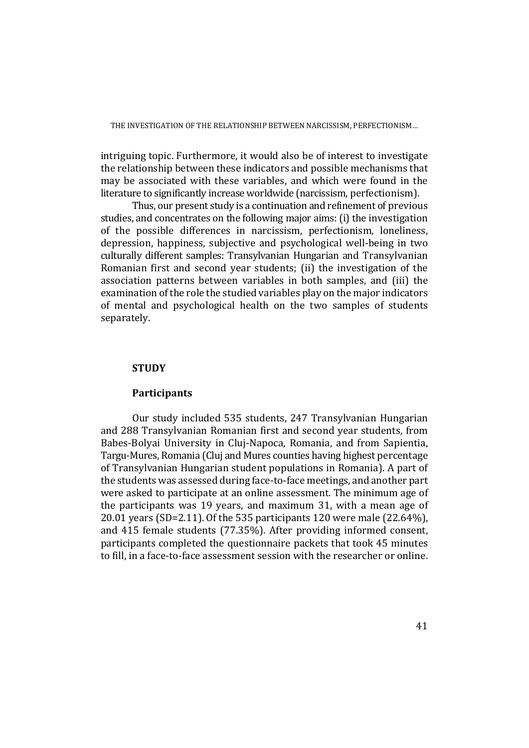intriguing topic. Furthermore, it would also be of interest to investigate the relationship between these indicators and possible mechanisms that may be associated with these variables, and which were found in the literature to significantly increase worldwide (narcissism, perfectionism).

Thus, our present study is a continuation and refinement of previous studies, and concentrates on the following major aims: (i) the investigation of the possible differences in narcissism, perfectionism, loneliness, depression, happiness, subjective and psychological well-being in two culturally different samples: Transylvanian Hungarian and Transylvanian Romanian first and second year students; (ii) the investigation of the association patterns between variables in both samples, and (iii) the examination of the role the studied variables play on the major indicators of mental and psychological health on the two samples of students separately.

# **STUDY**

# **Participants**

Our study included 535 students, 247 Transylvanian Hungarian and 288 Transylvanian Romanian first and second year students, from Babes-Bolyai University in Cluj-Napoca, Romania, and from Sapientia, Targu-Mures, Romania (Cluj and Mures counties having highest percentage of Transylvanian Hungarian student populations in Romania). A part of the students was assessed during face-to-face meetings, and another part were asked to participate at an online assessment. The minimum age of the participants was 19 years, and maximum 31, with a mean age of 20.01 years (SD=2.11). Of the 535 participants 120 were male (22.64%), and 415 female students (77.35%). After providing informed consent, participants completed the questionnaire packets that took 45 minutes to fill, in a face-to-face assessment session with the researcher or online.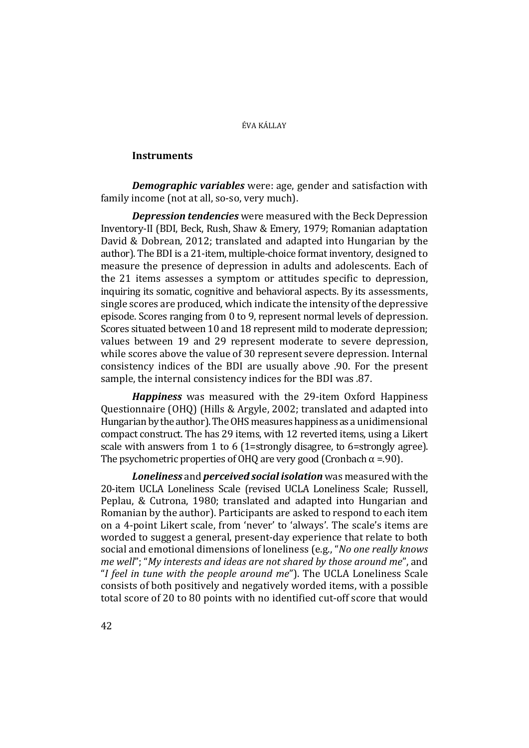# **Instruments**

*Demographic variables* were: age, gender and satisfaction with family income (not at all, so-so, very much).

*Depression tendencies* were measured with the Beck Depression Inventory-II (BDI, Beck, Rush, Shaw & Emery, 1979; Romanian adaptation David & Dobrean, 2012; translated and adapted into Hungarian by the author). The BDI is a 21-item, multiple-choice format inventory, designed to measure the presence of depression in adults and adolescents. Each of the 21 items assesses a symptom or attitudes specific to depression, inquiring its somatic, cognitive and behavioral aspects. By its assessments, single scores are produced, which indicate the intensity of the depressive episode. Scores ranging from 0 to 9, represent normal levels of depression. Scores situated between 10 and 18 represent mild to moderate depression; values between 19 and 29 represent moderate to severe depression, while scores above the value of 30 represent severe depression. Internal consistency indices of the BDI are usually above .90. For the present sample, the internal consistency indices for the BDI was .87.

*Happiness* was measured with the 29-item Oxford Happiness Questionnaire (OHQ) (Hills & Argyle, 2002; translated and adapted into Hungarian by the author). The OHS measures happiness as a unidimensional compact construct. The has 29 items, with 12 reverted items, using a Likert scale with answers from 1 to 6 (1=strongly disagree, to 6=strongly agree). The psychometric properties of OHQ are very good (Cronbach  $\alpha = .90$ ).

*Loneliness* and *perceived social isolation* was measured with the 20-item UCLA Loneliness Scale (revised UCLA Loneliness Scale; Russell, Peplau, & Cutrona, 1980; translated and adapted into Hungarian and Romanian by the author). Participants are asked to respond to each item on a 4-point Likert scale, from 'never' to 'always'. The scale's items are worded to suggest a general, present-day experience that relate to both social and emotional dimensions of loneliness (e.g., "*No one really knows me well*"; "*My interests and ideas are not shared by those around me*", and "*I feel in tune with the people around me*"). The UCLA Loneliness Scale consists of both positively and negatively worded items, with a possible total score of 20 to 80 points with no identified cut-off score that would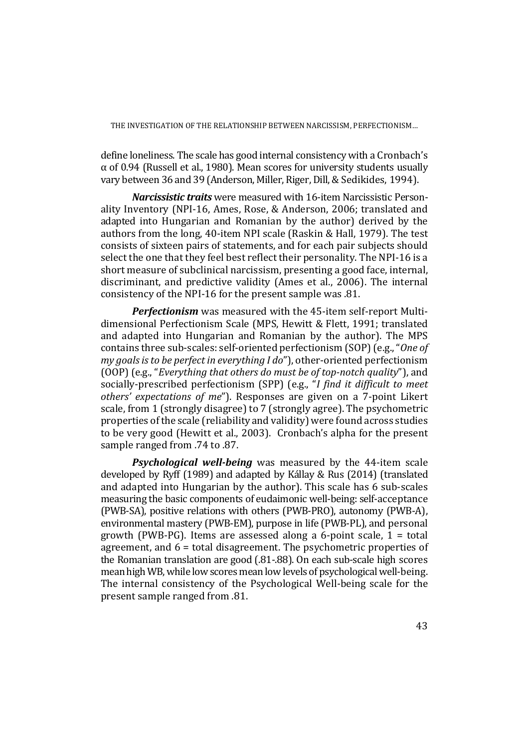define loneliness. The scale has good internal consistency with a Cronbach's  $\alpha$  of 0.94 (Russell et al., 1980). Mean scores for university students usually vary between 36 and 39 (Anderson, Miller, Riger, Dill, & Sedikides, 1994).

*Narcissistic traits* were measured with 16-item Narcissistic Personality Inventory (NPI-16, Ames, Rose, & Anderson, 2006; translated and adapted into Hungarian and Romanian by the author) derived by the authors from the long, 40-item NPI scale (Raskin & Hall, 1979). The test consists of sixteen pairs of statements, and for each pair subjects should select the one that they feel best reflect their personality. The NPI-16 is a short measure of subclinical narcissism, presenting a good face, internal, discriminant, and predictive validity (Ames et al., 2006). The internal consistency of the NPI-16 for the present sample was .81.

*Perfectionism* was measured with the 45-item self-report Multidimensional Perfectionism Scale (MPS, Hewitt & Flett, 1991; translated and adapted into Hungarian and Romanian by the author). The MPS contains three sub-scales: self-oriented perfectionism (SOP) (e.g., "*One of my goals is to be perfect in everything I do*"), other-oriented perfectionism (OOP) (e.g., "*Everything that others do must be of top-notch quality*"), and socially-prescribed perfectionism (SPP) (e.g., "*I find it difficult to meet others' expectations of me*"). Responses are given on a 7-point Likert scale, from 1 (strongly disagree) to 7 (strongly agree). The psychometric properties of the scale (reliability and validity) were found across studies to be very good (Hewitt et al., 2003). Cronbach's alpha for the present sample ranged from .74 to .87.

*Psychological well-being* was measured by the 44-item scale developed by Ryff (1989) and adapted by Kállay & Rus (2014) (translated and adapted into Hungarian by the author). This scale has 6 sub-scales measuring the basic components of eudaimonic well-being: self-acceptance (PWB-SA), positive relations with others (PWB-PRO), autonomy (PWB-A), environmental mastery (PWB-EM), purpose in life (PWB-PL), and personal growth (PWB-PG). Items are assessed along a 6-point scale,  $1 =$  total agreement, and 6 = total disagreement. The psychometric properties of the Romanian translation are good (.81-.88). On each sub-scale high scores mean high WB, while low scores mean low levels of psychological well-being. The internal consistency of the Psychological Well-being scale for the present sample ranged from .81.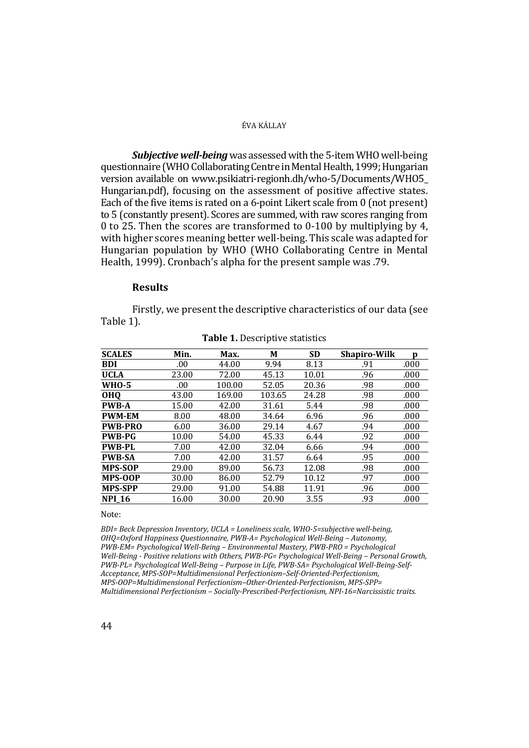*Subjective well-being* was assessed with the 5-item WHO well-being questionnaire (WHO Collaborating Centre in Mental Health, 1999; Hungarian version available on www.psikiatri-regionh.dh/who-5/Documents/WHO5\_ Hungarian.pdf), focusing on the assessment of positive affective states. Each of the five items is rated on a 6-point Likert scale from 0 (not present) to 5 (constantly present). Scores are summed, with raw scores ranging from 0 to 25. Then the scores are transformed to 0-100 by multiplying by 4, with higher scores meaning better well-being. This scale was adapted for Hungarian population by WHO (WHO Collaborating Centre in Mental Health, 1999). Cronbach's alpha for the present sample was .79.

# **Results**

Firstly, we present the descriptive characteristics of our data (see Table 1).

| <b>SCALES</b>  | Min.  | Max.   | М      | <b>SD</b> | <b>Shapiro-Wilk</b> | p    |
|----------------|-------|--------|--------|-----------|---------------------|------|
| <b>BDI</b>     | .00.  | 44.00  | 9.94   | 8.13      | .91                 | .000 |
| <b>UCLA</b>    | 23.00 | 72.00  | 45.13  | 10.01     | .96                 | .000 |
| <b>WHO-5</b>   | .00   | 100.00 | 52.05  | 20.36     | .98                 | .000 |
| <b>OHQ</b>     | 43.00 | 169.00 | 103.65 | 24.28     | .98                 | .000 |
| <b>PWB-A</b>   | 15.00 | 42.00  | 31.61  | 5.44      | .98                 | .000 |
| <b>PWM-EM</b>  | 8.00  | 48.00  | 34.64  | 6.96      | .96                 | .000 |
| <b>PWB-PRO</b> | 6.00  | 36.00  | 29.14  | 4.67      | .94                 | .000 |
| <b>PWB-PG</b>  | 10.00 | 54.00  | 45.33  | 6.44      | .92                 | .000 |
| <b>PWB-PL</b>  | 7.00  | 42.00  | 32.04  | 6.66      | .94                 | .000 |
| <b>PWB-SA</b>  | 7.00  | 42.00  | 31.57  | 6.64      | .95                 | .000 |
| <b>MPS-SOP</b> | 29.00 | 89.00  | 56.73  | 12.08     | .98                 | .000 |
| MPS-OOP        | 30.00 | 86.00  | 52.79  | 10.12     | .97                 | .000 |
| <b>MPS-SPP</b> | 29.00 | 91.00  | 54.88  | 11.91     | .96                 | .000 |
| <b>NPI 16</b>  | 16.00 | 30.00  | 20.90  | 3.55      | .93                 | .000 |

# **Table 1.** Descriptive statistics

#### Note:

*BDI= Beck Depression Inventory, UCLA = Loneliness scale, WHO-5=subjective well-being, OHQ=Oxford Happiness Questionnaire, PWB-A= Psychological Well-Being – Autonomy, PWB-EM= Psychological Well-Being – Environmental Mastery, PWB-PRO = Psychological Well-Being - Positive relations with Others, PWB-PG= Psychological Well-Being – Personal Growth, PWB-PL= Psychological Well-Being – Purpose in Life, PWB-SA= Psychological Well-Being-Self-Acceptance, MPS-SOP=Multidimensional Perfectionism–Self-Oriented-Perfectionism, MPS-OOP=Multidimensional Perfectionism–Other-Oriented-Perfectionism, MPS-SPP= Multidimensional Perfectionism – Socially-Prescribed-Perfectionism, NPI-16=Narcissistic traits.*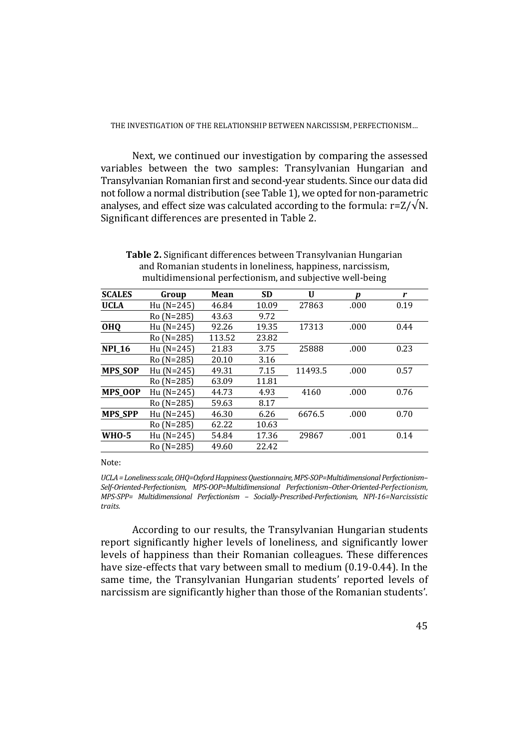Next, we continued our investigation by comparing the assessed variables between the two samples: Transylvanian Hungarian and Transylvanian Romanian first and second-year students. Since our data did not follow a normal distribution (see Table 1), we opted for non-parametric analyses, and effect size was calculated according to the formula:  $r=Z/\sqrt{N}$ . Significant differences are presented in Table 2.

| <b>SCALES</b>  | Group        | Mean   | <b>SD</b> | U       | Ŋ    | r    |
|----------------|--------------|--------|-----------|---------|------|------|
| <b>UCLA</b>    | Hu $(N=245)$ | 46.84  | 10.09     | 27863   | .000 | 0.19 |
|                | Ro (N=285)   | 43.63  | 9.72      |         |      |      |
| <b>OHQ</b>     | $Hu(N=245)$  | 92.26  | 19.35     | 17313   | .000 | 0.44 |
|                | Ro (N=285)   | 113.52 | 23.82     |         |      |      |
| <b>NPI_16</b>  | $Hu (N=245)$ | 21.83  | 3.75      | 25888   | .000 | 0.23 |
|                | Ro (N=285)   | 20.10  | 3.16      |         |      |      |
| <b>MPS_SOP</b> | Hu (N=245)   | 49.31  | 7.15      | 11493.5 | .000 | 0.57 |
|                | Ro (N=285)   | 63.09  | 11.81     |         |      |      |
| MPS_OOP        | Hu (N=245)   | 44.73  | 4.93      | 4160    | .000 | 0.76 |
|                | Ro (N=285)   | 59.63  | 8.17      |         |      |      |
| <b>MPS SPP</b> | $Hu(N=245)$  | 46.30  | 6.26      | 6676.5  | .000 | 0.70 |
|                | Ro (N=285)   | 62.22  | 10.63     |         |      |      |
| <b>WHO-5</b>   | Hu $(N=245)$ | 54.84  | 17.36     | 29867   | .001 | 0.14 |
|                | Ro (N=285)   | 49.60  | 22.42     |         |      |      |

**Table 2.** Significant differences between Transylvanian Hungarian and Romanian students in loneliness, happiness, narcissism, multidimensional perfectionism, and subjective well-being

Note:

*UCLA = Loneliness scale, OHQ=Oxford Happiness Questionnaire, MPS-SOP=Multidimensional Perfectionism– Self-Oriented-Perfectionism, MPS-OOP=Multidimensional Perfectionism–Other-Oriented-Perfectionism, MPS-SPP= Multidimensional Perfectionism – Socially-Prescribed-Perfectionism, NPI-16=Narcissistic traits.* 

According to our results, the Transylvanian Hungarian students report significantly higher levels of loneliness, and significantly lower levels of happiness than their Romanian colleagues. These differences have size-effects that vary between small to medium (0.19-0.44). In the same time, the Transylvanian Hungarian students' reported levels of narcissism are significantly higher than those of the Romanian students'.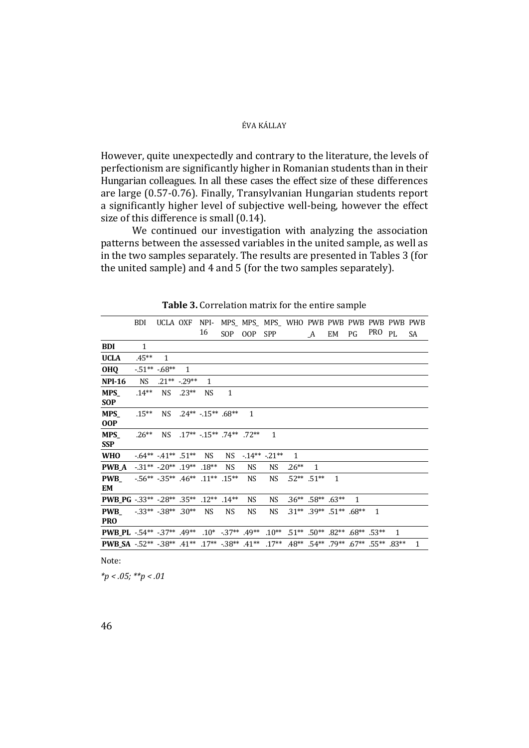However, quite unexpectedly and contrary to the literature, the levels of perfectionism are significantly higher in Romanian students than in their Hungarian colleagues. In all these cases the effect size of these differences are large (0.57-0.76). Finally, Transylvanian Hungarian students report a significantly higher level of subjective well-being, however the effect size of this difference is small (0.14).

We continued our investigation with analyzing the association patterns between the assessed variables in the united sample, as well as in the two samples separately. The results are presented in Tables 3 (for the united sample) and 4 and 5 (for the two samples separately).

|                                                                                                        | BDI          | UCLA OXF                                               |                   | NPI-                          |              |              | MPS MPS MPS WHO PWB PWB PWB PWB PWB PWB |              |                                                                   |              |              |              |     |              |
|--------------------------------------------------------------------------------------------------------|--------------|--------------------------------------------------------|-------------------|-------------------------------|--------------|--------------|-----------------------------------------|--------------|-------------------------------------------------------------------|--------------|--------------|--------------|-----|--------------|
|                                                                                                        |              |                                                        |                   | 16                            | SOP.         | 00P          | <b>SPP</b>                              |              | A                                                                 | EM           | PG           | PRO          | PI. | SA           |
| <b>BDI</b>                                                                                             | $\mathbf{1}$ |                                                        |                   |                               |              |              |                                         |              |                                                                   |              |              |              |     |              |
| <b>UCLA</b>                                                                                            | $.45***$     | 1                                                      |                   |                               |              |              |                                         |              |                                                                   |              |              |              |     |              |
| <b>OHQ</b>                                                                                             |              | $-51**$ -.68**                                         | $\mathbf{1}$      |                               |              |              |                                         |              |                                                                   |              |              |              |     |              |
| <b>NPI-16</b>                                                                                          | NS.          |                                                        | $.21***$ $-.29**$ | $\mathbf{1}$                  |              |              |                                         |              |                                                                   |              |              |              |     |              |
| <b>MPS</b>                                                                                             | $.14***$     | NS.                                                    | $.23**$           | <b>NS</b>                     | $\mathbf{1}$ |              |                                         |              |                                                                   |              |              |              |     |              |
| <b>SOP</b>                                                                                             |              |                                                        |                   |                               |              |              |                                         |              |                                                                   |              |              |              |     |              |
| <b>MPS</b><br><b>OOP</b>                                                                               | $.15***$     | NS.                                                    |                   | $.24***$ $.15***$ .68**       |              | $\mathbf{1}$ |                                         |              |                                                                   |              |              |              |     |              |
| <b>MPS</b>                                                                                             | $.26**$      | NS -                                                   |                   | $17***$ $15***$ $74**$ $72**$ |              |              | $\mathbf{1}$                            |              |                                                                   |              |              |              |     |              |
| <b>SSP</b>                                                                                             |              |                                                        |                   |                               |              |              |                                         |              |                                                                   |              |              |              |     |              |
| <b>WHO</b>                                                                                             |              | $-64** -41** -51**$                                    |                   | NS.                           | NS.          |              | $-14**$ $-21**$                         | $\mathbf{1}$ |                                                                   |              |              |              |     |              |
| <b>PWB A</b>                                                                                           |              | $-31** -20** -19** -18**$                              |                   |                               | <b>NS</b>    | <b>NS</b>    | <b>NS</b>                               | $.26**$      | 1                                                                 |              |              |              |     |              |
| <b>PWB</b>                                                                                             |              | $-56^{**}$ $-35^{**}$ $.46^{**}$ $.11^{**}$ $.15^{**}$ |                   |                               |              | <b>NS</b>    | <b>NS</b>                               |              | $.52**$ .51**                                                     | $\mathbf{1}$ |              |              |     |              |
| EM                                                                                                     |              |                                                        |                   |                               |              |              |                                         |              |                                                                   |              |              |              |     |              |
| <b>PWB_PG</b> -.33** -.28** .35** .12**                                                                |              |                                                        |                   |                               | $.14***$     | NS.          | NS.                                     |              | $.36***$ .58** .63**                                              |              | $\mathbf{1}$ |              |     |              |
| <b>PWB</b>                                                                                             |              | $-33**$ $-38**$ $.30**$                                |                   | <b>NS</b>                     | <b>NS</b>    | NS           | <b>NS</b>                               |              | $.31**$ $.39**$ $.51**$ $.68**$                                   |              |              | $\mathbf{1}$ |     |              |
| <b>PRO</b>                                                                                             |              |                                                        |                   |                               |              |              |                                         |              |                                                                   |              |              |              |     |              |
| <b>PWB_PL</b> -54** -37** $.49**$ $.10*$ -37** $.49**$ $.10**$ $.51**$ $.50**$ $.82**$ $.68**$ $.53**$ |              |                                                        |                   |                               |              |              |                                         |              |                                                                   |              |              |              | 1   |              |
| <b>PWB_SA</b> -.52** -.38** .41** .17** -.38** .41**                                                   |              |                                                        |                   |                               |              |              | $.17***$                                |              | $.48^{**}$ $.54^{**}$ $.79^{**}$ $.67^{**}$ $.55^{**}$ $.83^{**}$ |              |              |              |     | $\mathbf{1}$ |
|                                                                                                        |              |                                                        |                   |                               |              |              |                                         |              |                                                                   |              |              |              |     |              |

**Table 3.** Correlation matrix for the entire sample

Note:

*\*p < .05; \*\*p < .01*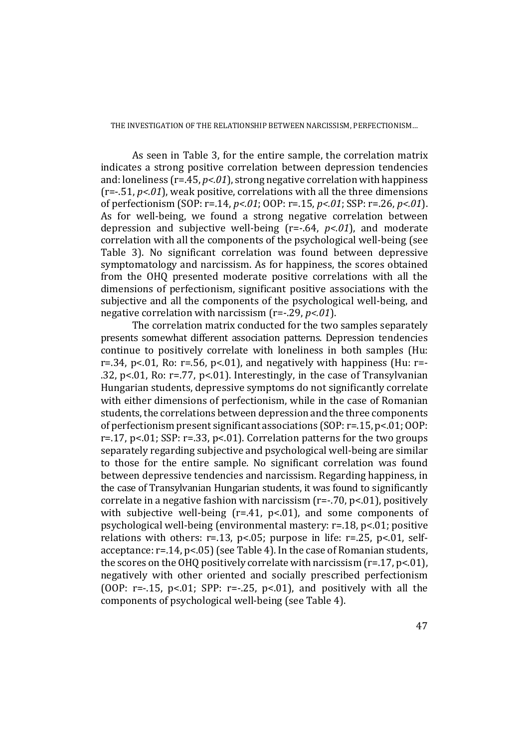As seen in Table 3, for the entire sample, the correlation matrix indicates a strong positive correlation between depression tendencies and: loneliness (r=.45, *p<.01*), strong negative correlation with happiness (r=-.51, *p<.01*), weak positive, correlations with all the three dimensions of perfectionism (SOP: r=.14, *p<.01*; OOP: r=.15, *p<.01*; SSP: r=.26, *p<.01*). As for well-being, we found a strong negative correlation between depression and subjective well-being (r=-.64, *p<.01*), and moderate correlation with all the components of the psychological well-being (see Table 3). No significant correlation was found between depressive symptomatology and narcissism. As for happiness, the scores obtained from the OHQ presented moderate positive correlations with all the dimensions of perfectionism, significant positive associations with the subjective and all the components of the psychological well-being, and negative correlation with narcissism (r=-.29, *p<.01*).

The correlation matrix conducted for the two samples separately presents somewhat different association patterns. Depression tendencies continue to positively correlate with loneliness in both samples (Hu: r=.34, p<.01, Ro: r=.56, p<.01), and negatively with happiness (Hu: r=-.32, p<.01, Ro: r=.77, p<.01). Interestingly, in the case of Transylvanian Hungarian students, depressive symptoms do not significantly correlate with either dimensions of perfectionism, while in the case of Romanian students, the correlations between depression and the three components of perfectionism present significant associations (SOP: r=.15, p<.01; OOP: r=.17, p<.01; SSP: r=.33, p<.01). Correlation patterns for the two groups separately regarding subjective and psychological well-being are similar to those for the entire sample. No significant correlation was found between depressive tendencies and narcissism. Regarding happiness, in the case of Transylvanian Hungarian students, it was found to significantly correlate in a negative fashion with narcissism (r=-.70, p<.01), positively with subjective well-being (r=.41, p<.01), and some components of psychological well-being (environmental mastery: r=.18, p<.01; positive relations with others:  $r=.13$ ,  $p<.05$ ; purpose in life:  $r=.25$ ,  $p<.01$ , selfacceptance: r=.14, p<.05) (see Table 4). In the case of Romanian students, the scores on the OHQ positively correlate with narcissism (r=.17, p<.01), negatively with other oriented and socially prescribed perfectionism (OOP:  $r=-.15$ ,  $p<.01$ ; SPP:  $r=-.25$ ,  $p<.01$ ), and positively with all the components of psychological well-being (see Table 4).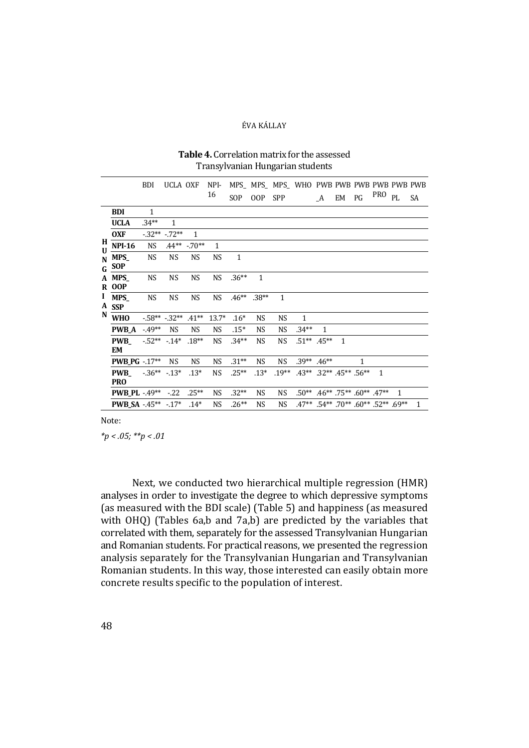|                   |                            | <b>BDI</b>   | <b>UCLA OXF</b> |           | NPI-         |              |              |              | MPS MPS MPS WHO PWB PWB PWB PWB PWB PWB |                                                        |              |    |                                                  |    |              |
|-------------------|----------------------------|--------------|-----------------|-----------|--------------|--------------|--------------|--------------|-----------------------------------------|--------------------------------------------------------|--------------|----|--------------------------------------------------|----|--------------|
|                   |                            |              |                 |           | 16           | <b>SOP</b>   | OOP          | SPP          |                                         | A                                                      | EM           | PG | <b>PRO</b>                                       | PL | <b>SA</b>    |
|                   | <b>BDI</b>                 | $\mathbf{1}$ |                 |           |              |              |              |              |                                         |                                                        |              |    |                                                  |    |              |
|                   | <b>UCLA</b>                | $.34**$      | 1               |           |              |              |              |              |                                         |                                                        |              |    |                                                  |    |              |
|                   | <b>OXF</b>                 |              | $-32** -72**$   | 1         |              |              |              |              |                                         |                                                        |              |    |                                                  |    |              |
| H<br>$\mathbf{U}$ | <b>NPI-16</b>              | <b>NS</b>    | $.44**$         | $-70**$   | $\mathbf{1}$ |              |              |              |                                         |                                                        |              |    |                                                  |    |              |
|                   | $N$ MPS_<br>$G_{-}$ SOP    | <b>NS</b>    | <b>NS</b>       | <b>NS</b> | <b>NS</b>    | $\mathbf{1}$ |              |              |                                         |                                                        |              |    |                                                  |    |              |
|                   | A MPS_<br><b>R</b> OOP     | <b>NS</b>    | <b>NS</b>       | <b>NS</b> | NS           | $.36**$      | $\mathbf{1}$ |              |                                         |                                                        |              |    |                                                  |    |              |
| $\bf{I}$<br>A     | <b>MPS</b><br><b>SSP</b>   | <b>NS</b>    | <b>NS</b>       | <b>NS</b> | NS           | $.46**$      | $.38**$      | $\mathbf{1}$ |                                         |                                                        |              |    |                                                  |    |              |
| N                 | <b>WHO</b>                 |              | $-58** -32**$   | $.41**$   | $13.7*$      | $.16*$       | NS           | NS           | $\mathbf{1}$                            |                                                        |              |    |                                                  |    |              |
|                   | <b>PWB_A</b>               | $-49**$      | <b>NS</b>       | <b>NS</b> | <b>NS</b>    | $.15*$       | <b>NS</b>    | <b>NS</b>    | $.34**$                                 | $\mathbf{1}$                                           |              |    |                                                  |    |              |
|                   | <b>PWB</b><br>EM           | $-52**$      | $-14*$          | $.18**$   | <b>NS</b>    | $.34**$      | <b>NS</b>    | <b>NS</b>    |                                         | $.51***$ .45**                                         | $\mathbf{1}$ |    |                                                  |    |              |
|                   | <b>PWB_PG</b> $-.17**$     |              | <b>NS</b>       | <b>NS</b> | NS.          | $.31**$      | NS           | <b>NS</b>    |                                         | $.39***$ $.46**$                                       |              | 1  |                                                  |    |              |
|                   | <b>PWB</b><br><b>PRO</b>   | $-36**$      | $-13*$          | $.13*$    | <b>NS</b>    | $.25**$      | $.13*$       | $.19**$      |                                         | $.43**$ $.32**$ $.45**$ $.56**$                        |              |    | $\mathbf{1}$                                     |    |              |
|                   | <b>PWB_PL</b> $-49**$      |              | $-22$           | $.25**$   | <b>NS</b>    | $.32**$      | NS           | <b>NS</b>    |                                         | $.50^{**}$ $.46^{**}$ $.75^{**}$ $.60^{**}$ $.47^{**}$ |              |    |                                                  | 1  |              |
|                   | <b>PWB SA -.45** -.17*</b> |              |                 | $.14*$    | <b>NS</b>    | $.26**$      | <b>NS</b>    | <b>NS</b>    |                                         |                                                        |              |    | $.47***$ $.54**$ $.70**$ $.60**$ $.52**$ $.69**$ |    | $\mathbf{1}$ |

#### **Table 4.** Correlation matrix for the assessed Transylvanian Hungarian students

Note:

*\*p < .05; \*\*p < .01* 

Next, we conducted two hierarchical multiple regression (HMR) analyses in order to investigate the degree to which depressive symptoms (as measured with the BDI scale) (Table 5) and happiness (as measured with OHQ) (Tables 6a,b and 7a,b) are predicted by the variables that correlated with them, separately for the assessed Transylvanian Hungarian and Romanian students. For practical reasons, we presented the regression analysis separately for the Transylvanian Hungarian and Transylvanian Romanian students. In this way, those interested can easily obtain more concrete results specific to the population of interest.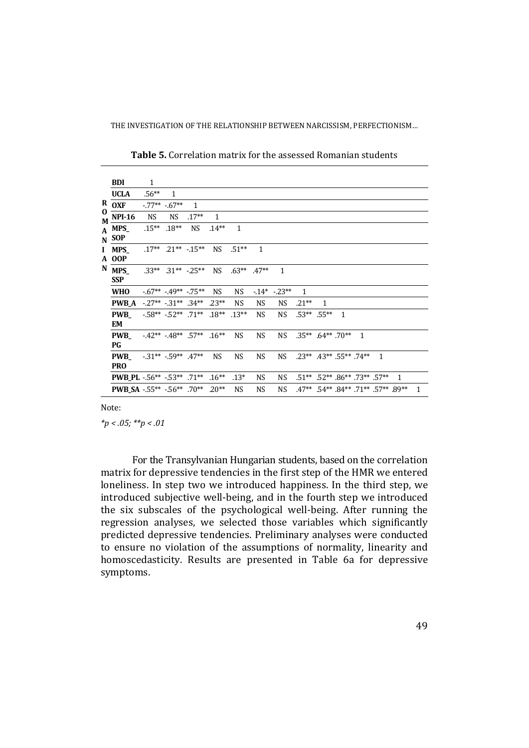|         | <b>BDI</b>                      | 1         |                                  |              |           |              |              |                    |                      |                |                                          |              |              |   |              |
|---------|---------------------------------|-----------|----------------------------------|--------------|-----------|--------------|--------------|--------------------|----------------------|----------------|------------------------------------------|--------------|--------------|---|--------------|
|         | <b>UCLA</b>                     | $.56**$   | 1                                |              |           |              |              |                    |                      |                |                                          |              |              |   |              |
|         | $R_{OXF}$                       |           | $-77**$ $-67**$                  | $\mathbf{1}$ |           |              |              |                    |                      |                |                                          |              |              |   |              |
| 0<br>M. | <b>NPI-16</b>                   | <b>NS</b> | <b>NS</b>                        | $.17**$      | 1         |              |              |                    |                      |                |                                          |              |              |   |              |
|         | $A$ MPS_<br>$N$ SOP             |           | $.15***$ $.18***$                | <b>NS</b>    | $.14**$   | $\mathbf{1}$ |              |                    |                      |                |                                          |              |              |   |              |
|         | I MPS<br><b>A</b> OOP           |           | $.17***$ $.21***$ $.15***$       |              | <b>NS</b> | $.51**$      | $\mathbf{1}$ |                    |                      |                |                                          |              |              |   |              |
|         | N MPS_<br><b>SSP</b>            |           | $.33***$ $.31**$ $.25**$         |              | NS.       | $.63**$      | $.47**$      | $\mathbf{1}$       |                      |                |                                          |              |              |   |              |
|         | <b>WHO</b>                      |           | $-0.67***$ $-0.49***$ $-0.75***$ |              | NS.       | NS.          |              | $-14^*$ $-23^{**}$ | 1                    |                |                                          |              |              |   |              |
|         | <b>PWB A</b>                    |           | $-27**$ $-31**$ $34**$           |              | $.23**$   | <b>NS</b>    | NS.          | NS.                | $.21**$              | $\mathbf{1}$   |                                          |              |              |   |              |
|         | <b>PWB</b><br><b>EM</b>         |           | $-58** -52** -71** -18**$        |              |           | $.13**$      | <b>NS</b>    | <b>NS</b>          |                      | $.53***$ .55** | $\mathbf{1}$                             |              |              |   |              |
|         | <b>PWB</b><br>PG                |           | $-42** -48** -57** -16**$        |              |           | <b>NS</b>    | <b>NS</b>    | <b>NS</b>          | $.35***$ .64** .70** |                |                                          | $\mathbf{1}$ |              |   |              |
|         | <b>PWB</b><br><b>PRO</b>        |           | $-31**$ $-59**$ $.47**$          |              | <b>NS</b> | <b>NS</b>    | NS           | <b>NS</b>          |                      |                | $.23***$ $.43**$ $.55**$ $.74**$         |              | $\mathbf{1}$ |   |              |
|         | <b>PWB_PL</b> -56** -53** .71** |           |                                  |              | $.16**$   | $.13*$       | NS           | NS.                |                      |                | $.51***$ $.52**$ $.86**$ $.73**$ $.57**$ |              |              | 1 |              |
|         | PWB_SA -.55** -.56** .70**      |           |                                  |              | $.20**$   | <b>NS</b>    | <b>NS</b>    | <b>NS</b>          |                      |                | .47** .54** .84** .71** .57** .89**      |              |              |   | $\mathbf{1}$ |

**Table 5.** Correlation matrix for the assessed Romanian students

Note:

*\*p < .05; \*\*p < .01* 

For the Transylvanian Hungarian students, based on the correlation matrix for depressive tendencies in the first step of the HMR we entered loneliness. In step two we introduced happiness. In the third step, we introduced subjective well-being, and in the fourth step we introduced the six subscales of the psychological well-being. After running the regression analyses, we selected those variables which significantly predicted depressive tendencies. Preliminary analyses were conducted to ensure no violation of the assumptions of normality, linearity and homoscedasticity. Results are presented in Table 6a for depressive symptoms.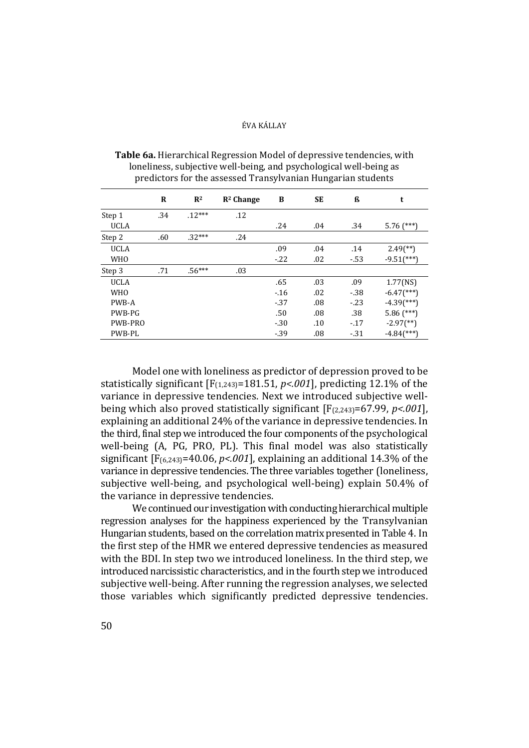|             | R   | R <sup>2</sup> | $R2$ Change | B      | <b>SE</b> | ß      | t                          |
|-------------|-----|----------------|-------------|--------|-----------|--------|----------------------------|
| Step 1      | .34 | $.12***$       | .12         |        |           |        |                            |
| <b>UCLA</b> |     |                |             | .24    | .04       | .34    | $5.76$ (***)               |
| Step 2      | .60 | $.32***$       | .24         |        |           |        |                            |
| <b>UCLA</b> |     |                |             | .09    | .04       | .14    | $2.49$ (**)                |
| <b>WHO</b>  |     |                |             | $-.22$ | .02       | $-53$  | $-9.51$ (***)              |
| Step 3      | .71 | $.56***$       | .03         |        |           |        |                            |
| <b>UCLA</b> |     |                |             | .65    | .03       | .09    | $1.77$ (NS)                |
| <b>WHO</b>  |     |                |             | $-16$  | .02       | $-38$  | $-6.47$ (***)              |
| PWB-A       |     |                |             | $-37$  | .08       | $-.23$ | $-4.39$ <sup>(***)</sup> ) |
| PWB-PG      |     |                |             | .50    | .08       | .38    | $5.86$ (***)               |
| PWB-PRO     |     |                |             | $-.30$ | .10       | $-17$  | $-2.97$ <sup>(**)</sup> )  |
| PWB-PL      |     |                |             | $-39$  | .08       | $-31$  | $-4.84$ <sup>(***)</sup> ) |

**Table 6a.** Hierarchical Regression Model of depressive tendencies, with loneliness, subjective well-being, and psychological well-being as predictors for the assessed Transylvanian Hungarian students

Model one with loneliness as predictor of depression proved to be statistically significant  $[F_{(1,243)}=181.51, p<0.001]$ , predicting 12.1% of the variance in depressive tendencies. Next we introduced subjective wellbeing which also proved statistically significant [F(2,243)=67.99, *p<.001*], explaining an additional 24% of the variance in depressive tendencies. In the third, final step we introduced the four components of the psychological well-being (A, PG, PRO, PL). This final model was also statistically significant [F(6,243)=40.06, *p<.001*], explaining an additional 14.3% of the variance in depressive tendencies. The three variables together (loneliness, subjective well-being, and psychological well-being) explain 50.4% of the variance in depressive tendencies.

We continued our investigation with conducting hierarchical multiple regression analyses for the happiness experienced by the Transylvanian Hungarian students, based on the correlation matrix presented in Table 4. In the first step of the HMR we entered depressive tendencies as measured with the BDI. In step two we introduced loneliness. In the third step, we introduced narcissistic characteristics, and in the fourth step we introduced subjective well-being. After running the regression analyses, we selected those variables which significantly predicted depressive tendencies.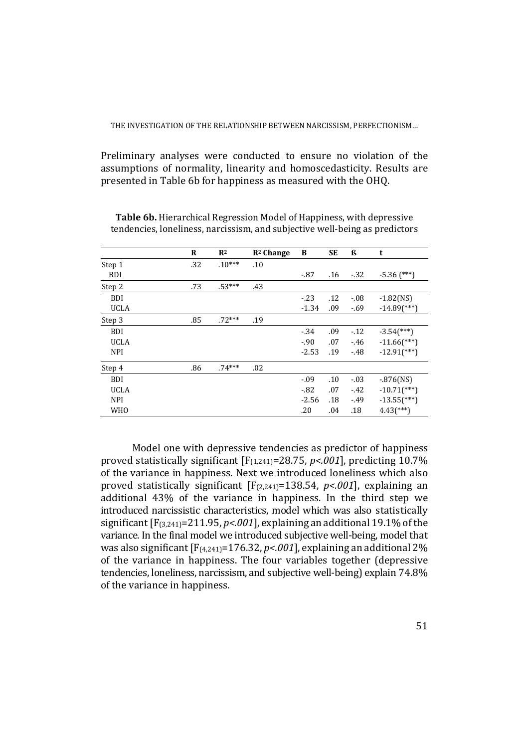Preliminary analyses were conducted to ensure no violation of the assumptions of normality, linearity and homoscedasticity. Results are presented in Table 6b for happiness as measured with the OHQ.

|             | R   | $R^2$    | $R2$ Change | B       | SE  | ß       | t                          |
|-------------|-----|----------|-------------|---------|-----|---------|----------------------------|
| Step 1      | .32 | $.10***$ | .10         |         |     |         |                            |
| <b>BDI</b>  |     |          |             | $-87$   | .16 | $-.32$  | $-5.36$ (***)              |
| Step 2      | .73 | $.53***$ | .43         |         |     |         |                            |
| <b>BDI</b>  |     |          |             | $-23$   | .12 | $-0.08$ | $-1.82$ (NS)               |
| <b>UCLA</b> |     |          |             | $-1.34$ | .09 | $-.69$  | $-14.89$ <sup>***</sup> )  |
| Step 3      | .85 | $.72***$ | .19         |         |     |         |                            |
| <b>BDI</b>  |     |          |             | $-34$   | .09 | $-12$   | $-3.54$ <sup>(***)</sup> ) |
| <b>UCLA</b> |     |          |             | $-90$   | .07 | $-46$   | $-11.66$ <sup>***</sup> )  |
| <b>NPI</b>  |     |          |             | $-2.53$ | .19 | $-48$   | $-12.91$ <sup>***</sup> )  |
| Step 4      | .86 | $.74***$ | .02         |         |     |         |                            |
| <b>BDI</b>  |     |          |             | $-0.09$ | .10 | $-03$   | $-.876$ (NS)               |
| <b>UCLA</b> |     |          |             | $-82$   | .07 | $-42$   | $-10.71$ <sup>***</sup> )  |
| <b>NPI</b>  |     |          |             | $-2.56$ | .18 | $-49$   | $-13.55$ <sup>(***</sup> ) |
| <b>WHO</b>  |     |          |             | .20     | .04 | .18     | $4.43$ <sup>(***)</sup> )  |

**Table 6b.** Hierarchical Regression Model of Happiness, with depressive tendencies, loneliness, narcissism, and subjective well-being as predictors

Model one with depressive tendencies as predictor of happiness proved statistically significant [F(1,241)=28.75, *p<.001*], predicting 10.7% of the variance in happiness. Next we introduced loneliness which also proved statistically significant [F(2,241)=138.54, *p<.001*], explaining an additional 43% of the variance in happiness. In the third step we introduced narcissistic characteristics, model which was also statistically significant [F(3,241)=211.95, *p<.001*], explaining an additional 19.1% of the variance. In the final model we introduced subjective well-being, model that was also significant [F(4,241)=176.32, *p<.001*], explaining an additional 2% of the variance in happiness. The four variables together (depressive tendencies, loneliness, narcissism, and subjective well-being) explain 74.8% of the variance in happiness.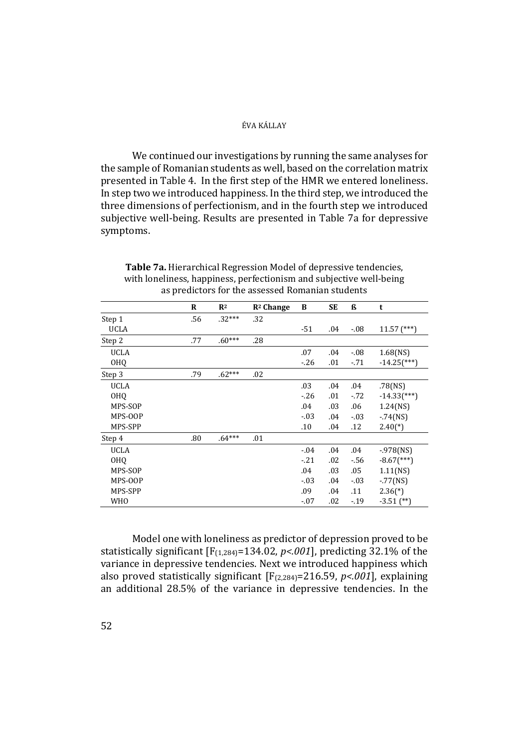We continued our investigations by running the same analyses for the sample of Romanian students as well, based on the correlation matrix presented in Table 4. In the first step of the HMR we entered loneliness. In step two we introduced happiness. In the third step, we introduced the three dimensions of perfectionism, and in the fourth step we introduced subjective well-being. Results are presented in Table 7a for depressive symptoms.

|                 | $\bf{R}$ | R <sup>2</sup> | $R2$ Change | B       | <b>SE</b> | ß       | t                         |
|-----------------|----------|----------------|-------------|---------|-----------|---------|---------------------------|
| Step 1          | .56      | $.32***$       | .32         |         |           |         |                           |
| <b>UCLA</b>     |          |                |             | $-51$   | .04       | $-.08$  | $11.57$ (***)             |
| Step 2          | .77      | $.60***$       | .28         |         |           |         |                           |
| <b>UCLA</b>     |          |                |             | .07     | .04       | $-0.08$ | $1.68$ (NS)               |
| <b>OHQ</b>      |          |                |             | $-26$   | .01       | $-71$   | $-14.25$ <sup>***</sup> ) |
| Step 3          | .79      | $.62***$       | .02         |         |           |         |                           |
| <b>UCLA</b>     |          |                |             | .03     | .04       | .04     | .78(NS)                   |
| <b>OHQ</b>      |          |                |             | $-26$   | .01       | $-72$   | $-14.33$ <sup>***</sup> ) |
| MPS-SOP         |          |                |             | .04     | .03       | .06     | $1.24$ (NS)               |
| MPS-OOP         |          |                |             | $-03$   | .04       | $-.03$  | $-.74$ (NS)               |
| MPS-SPP         |          |                |             | .10     | .04       | .12     | $2.40(*)$                 |
| Step 4          | .80      | $.64***$       | .01         |         |           |         |                           |
| <b>UCLA</b>     |          |                |             | $-0.04$ | .04       | .04     | $-978$ (NS)               |
| 0H <sub>0</sub> |          |                |             | $-21$   | .02       | $-56$   | $-8.67$ <sup>***</sup> )  |
| MPS-SOP         |          |                |             | .04     | .03       | .05     | 1.11(NS)                  |
| MPS-OOP         |          |                |             | $-03$   | .04       | $-.03$  | $-.77(NS)$                |
| MPS-SPP         |          |                |             | .09     | .04       | .11     | $2.36(*)$                 |
| <b>WHO</b>      |          |                |             | $-07$   | .02       | $-19$   | $-3.51$ (**)              |

**Table 7a.** Hierarchical Regression Model of depressive tendencies, with loneliness, happiness, perfectionism and subjective well-being as predictors for the assessed Romanian students

Model one with loneliness as predictor of depression proved to be statistically significant  $[F_{(1,284)}=134.02, p<.001]$ , predicting 32.1% of the variance in depressive tendencies. Next we introduced happiness which also proved statistically significant [F(2,284)=216.59, *p<.001*], explaining an additional 28.5% of the variance in depressive tendencies. In the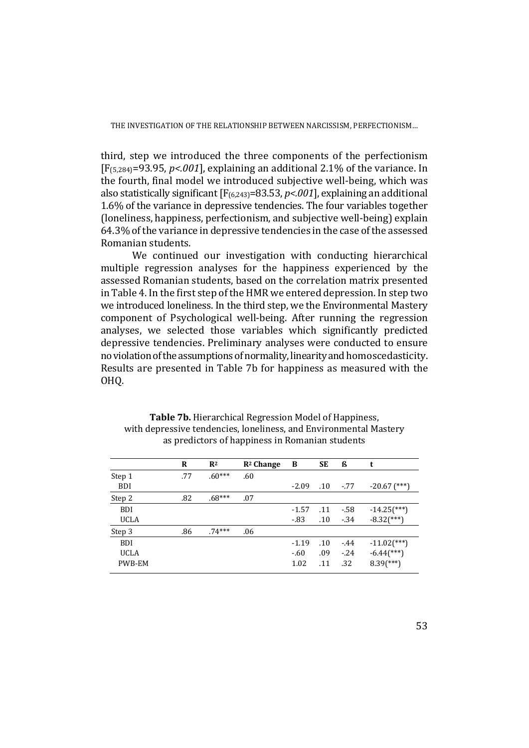third, step we introduced the three components of the perfectionism [F(5,284)=93.95, *p<.001*], explaining an additional 2.1% of the variance. In the fourth, final model we introduced subjective well-being, which was also statistically significant [F(6,243)=83.53, *p<.001*], explaining an additional 1.6% of the variance in depressive tendencies. The four variables together (loneliness, happiness, perfectionism, and subjective well-being) explain 64.3% of the variance in depressive tendencies in the case of the assessed Romanian students.

We continued our investigation with conducting hierarchical multiple regression analyses for the happiness experienced by the assessed Romanian students, based on the correlation matrix presented in Table 4. In the first step of the HMR we entered depression. In step two we introduced loneliness. In the third step, we the Environmental Mastery component of Psychological well-being. After running the regression analyses, we selected those variables which significantly predicted depressive tendencies. Preliminary analyses were conducted to ensure no violation of the assumptions of normality, linearity and homoscedasticity. Results are presented in Table 7b for happiness as measured with the OHQ.

|             | R   | R <sup>2</sup> | $R2$ Change | B       | <b>SE</b> | ß      | t                         |
|-------------|-----|----------------|-------------|---------|-----------|--------|---------------------------|
| Step 1      | .77 | $.60***$       | .60         |         |           |        |                           |
| <b>BDI</b>  |     |                |             | $-2.09$ | .10       | $-77$  | $-20.67$ (***)            |
| Step 2      | .82 | $.68***$       | .07         |         |           |        |                           |
| <b>BDI</b>  |     |                |             | $-1.57$ | .11       | $-58$  | $-14.25$ <sup>***</sup> ) |
| <b>UCLA</b> |     |                |             | $-83$   | $.10\,$   | $-34$  | $-8.32$ (***)             |
| Step 3      | .86 | $.74***$       | .06         |         |           |        |                           |
| <b>BDI</b>  |     |                |             | $-1.19$ | .10       | $-44$  | $-11.02$ <sup>***</sup> ) |
| <b>UCLA</b> |     |                |             | $-.60$  | .09       | $-.24$ | $-6.44$ <sup>***</sup> )  |
| PWB-EM      |     |                |             | 1.02    | .11       | .32    | $8.39$ <sup>(***)</sup> ) |

**Table 7b.** Hierarchical Regression Model of Happiness, with depressive tendencies, loneliness, and Environmental Mastery as predictors of happiness in Romanian students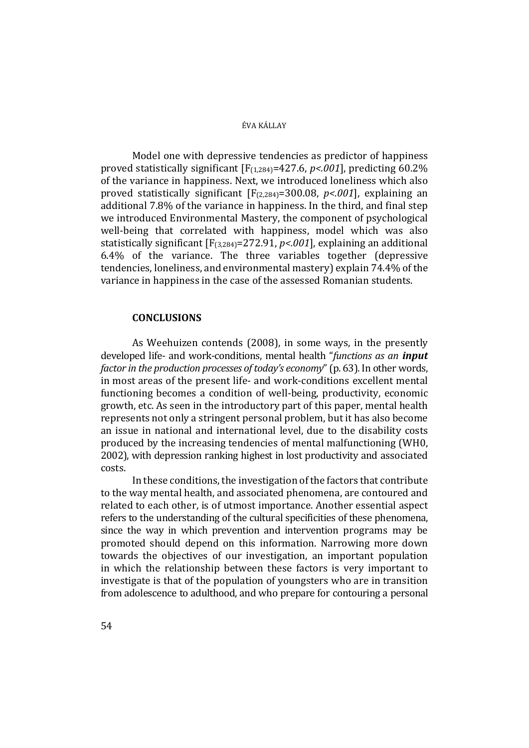Model one with depressive tendencies as predictor of happiness proved statistically significant [F(1,284)=427.6, *p<.001*], predicting 60.2% of the variance in happiness. Next, we introduced loneliness which also proved statistically significant [F(2,284)=300.08, *p<.001*], explaining an additional 7.8% of the variance in happiness. In the third, and final step we introduced Environmental Mastery, the component of psychological well-being that correlated with happiness, model which was also statistically significant [F(3,284)=272.91, *p<.001*], explaining an additional 6.4% of the variance. The three variables together (depressive tendencies, loneliness, and environmental mastery) explain 74.4% of the variance in happiness in the case of the assessed Romanian students.

# **CONCLUSIONS**

As Weehuizen contends (2008), in some ways, in the presently developed life- and work-conditions, mental health "*functions as an input factor in the production processes of today's economy*" (p. 63). In other words, in most areas of the present life- and work-conditions excellent mental functioning becomes a condition of well-being, productivity, economic growth, etc. As seen in the introductory part of this paper, mental health represents not only a stringent personal problem, but it has also become an issue in national and international level, due to the disability costs produced by the increasing tendencies of mental malfunctioning (WH0, 2002), with depression ranking highest in lost productivity and associated costs.

In these conditions, the investigation of the factors that contribute to the way mental health, and associated phenomena, are contoured and related to each other, is of utmost importance. Another essential aspect refers to the understanding of the cultural specificities of these phenomena, since the way in which prevention and intervention programs may be promoted should depend on this information. Narrowing more down towards the objectives of our investigation, an important population in which the relationship between these factors is very important to investigate is that of the population of youngsters who are in transition from adolescence to adulthood, and who prepare for contouring a personal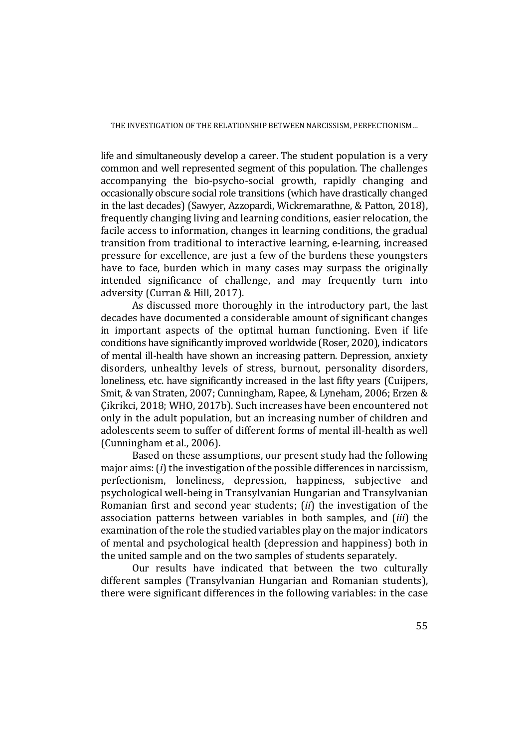life and simultaneously develop a career. The student population is a very common and well represented segment of this population. The challenges accompanying the bio-psycho-social growth, rapidly changing and occasionally obscure social role transitions (which have drastically changed in the last decades) (Sawyer, Azzopardi, Wickremarathne, & Patton, 2018), frequently changing living and learning conditions, easier relocation, the facile access to information, changes in learning conditions, the gradual transition from traditional to interactive learning, e-learning, increased pressure for excellence, are just a few of the burdens these youngsters have to face, burden which in many cases may surpass the originally intended significance of challenge, and may frequently turn into adversity (Curran & Hill, 2017).

As discussed more thoroughly in the introductory part, the last decades have documented a considerable amount of significant changes in important aspects of the optimal human functioning. Even if life conditions have significantly improved worldwide (Roser, 2020), indicators of mental ill-health have shown an increasing pattern. Depression, anxiety disorders, unhealthy levels of stress, burnout, personality disorders, loneliness, etc. have significantly increased in the last fifty years (Cuijpers, Smit, & van Straten, 2007; Cunningham, Rapee, & Lyneham, 2006; Erzen & Çikrikci, 2018; WHO, 2017b). Such increases have been encountered not only in the adult population, but an increasing number of children and adolescents seem to suffer of different forms of mental ill-health as well (Cunningham et al., 2006).

Based on these assumptions, our present study had the following major aims: (*i*) the investigation of the possible differences in narcissism, perfectionism, loneliness, depression, happiness, subjective and psychological well-being in Transylvanian Hungarian and Transylvanian Romanian first and second year students; (*ii*) the investigation of the association patterns between variables in both samples, and (*iii*) the examination of the role the studied variables play on the major indicators of mental and psychological health (depression and happiness) both in the united sample and on the two samples of students separately.

Our results have indicated that between the two culturally different samples (Transylvanian Hungarian and Romanian students), there were significant differences in the following variables: in the case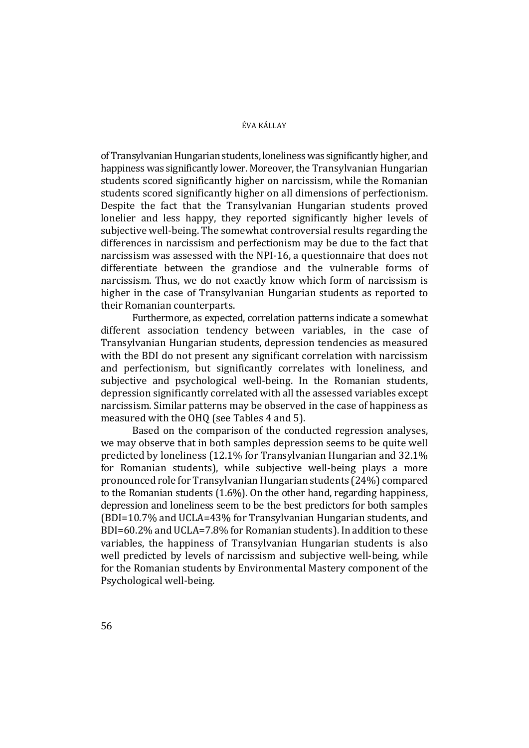of Transylvanian Hungarian students, loneliness was significantly higher, and happiness was significantly lower. Moreover, the Transylvanian Hungarian students scored significantly higher on narcissism, while the Romanian students scored significantly higher on all dimensions of perfectionism. Despite the fact that the Transylvanian Hungarian students proved lonelier and less happy, they reported significantly higher levels of subjective well-being. The somewhat controversial results regarding the differences in narcissism and perfectionism may be due to the fact that narcissism was assessed with the NPI-16, a questionnaire that does not differentiate between the grandiose and the vulnerable forms of narcissism. Thus, we do not exactly know which form of narcissism is higher in the case of Transylvanian Hungarian students as reported to their Romanian counterparts.

Furthermore, as expected, correlation patterns indicate a somewhat different association tendency between variables, in the case of Transylvanian Hungarian students, depression tendencies as measured with the BDI do not present any significant correlation with narcissism and perfectionism, but significantly correlates with loneliness, and subjective and psychological well-being. In the Romanian students, depression significantly correlated with all the assessed variables except narcissism. Similar patterns may be observed in the case of happiness as measured with the OHQ (see Tables 4 and 5).

Based on the comparison of the conducted regression analyses, we may observe that in both samples depression seems to be quite well predicted by loneliness (12.1% for Transylvanian Hungarian and 32.1% for Romanian students), while subjective well-being plays a more pronounced role for Transylvanian Hungarian students (24%) compared to the Romanian students (1.6%). On the other hand, regarding happiness, depression and loneliness seem to be the best predictors for both samples (BDI=10.7% and UCLA=43% for Transylvanian Hungarian students, and BDI=60.2% and UCLA=7.8% for Romanian students). In addition to these variables, the happiness of Transylvanian Hungarian students is also well predicted by levels of narcissism and subjective well-being, while for the Romanian students by Environmental Mastery component of the Psychological well-being.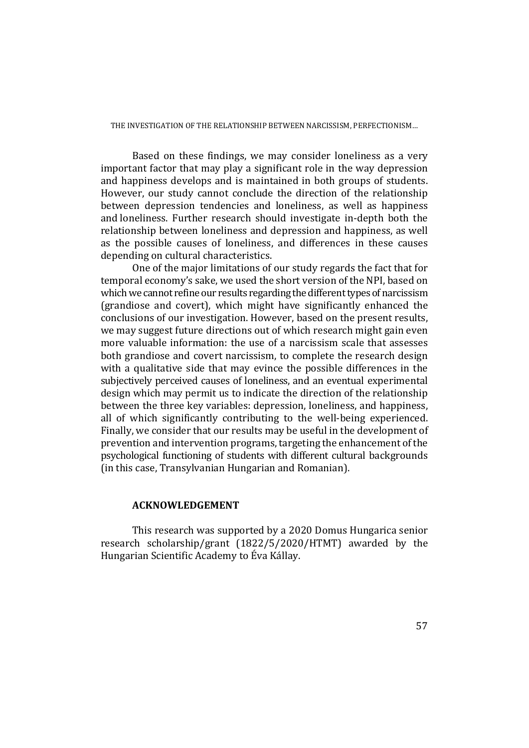Based on these findings, we may consider loneliness as a very important factor that may play a significant role in the way depression and happiness develops and is maintained in both groups of students. However, our study cannot conclude the direction of the relationship between depression tendencies and loneliness, as well as happiness and loneliness. Further research should investigate in-depth both the relationship between loneliness and depression and happiness, as well as the possible causes of loneliness, and differences in these causes depending on cultural characteristics.

One of the major limitations of our study regards the fact that for temporal economy's sake, we used the short version of the NPI, based on which we cannot refine our results regarding the different types of narcissism (grandiose and covert), which might have significantly enhanced the conclusions of our investigation. However, based on the present results, we may suggest future directions out of which research might gain even more valuable information: the use of a narcissism scale that assesses both grandiose and covert narcissism, to complete the research design with a qualitative side that may evince the possible differences in the subjectively perceived causes of loneliness, and an eventual experimental design which may permit us to indicate the direction of the relationship between the three key variables: depression, loneliness, and happiness, all of which significantly contributing to the well-being experienced. Finally, we consider that our results may be useful in the development of prevention and intervention programs, targeting the enhancement of the psychological functioning of students with different cultural backgrounds (in this case, Transylvanian Hungarian and Romanian).

# **ACKNOWLEDGEMENT**

This research was supported by a 2020 Domus Hungarica senior research scholarship/grant (1822/5/2020/HTMT) awarded by the Hungarian Scientific Academy to Éva Kállay.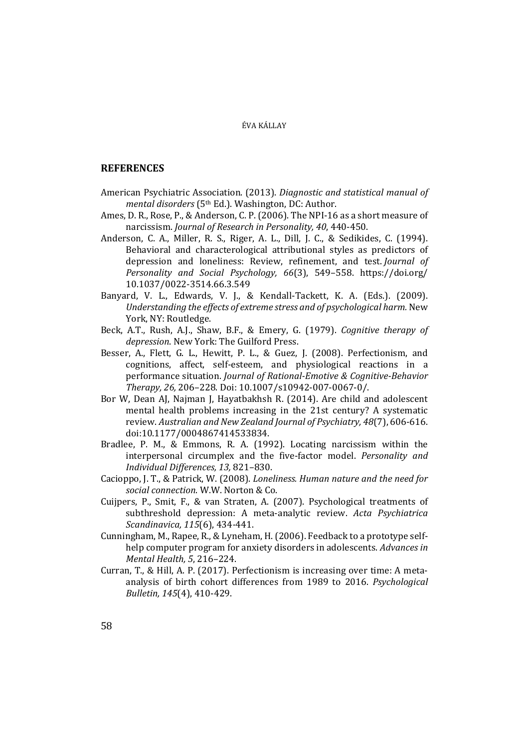# **REFERENCES**

- American Psychiatric Association. (2013). *Diagnostic and statistical manual of mental disorders* (5th Ed.). Washington, DC: Author.
- Ames, D. R., Rose, P., & Anderson, C. P. (2006). The NPI-16 as a short measure of narcissism. *Journal of Research in Personality, 40*, 440-450.
- Anderson, C. A., Miller, R. S., Riger, A. L., Dill, J. C., & Sedikides, C. (1994). Behavioral and characterological attributional styles as predictors of depression and loneliness: Review, refinement, and test. *Journal of Personality and Social Psychology, 66*(3), 549–558. https://doi.org/ 10.1037/0022-3514.66.3.549
- Banyard, V. L., Edwards, V. J., & Kendall-Tackett, K. A. (Eds.). (2009). *Understanding the effects of extreme stress and of psychological harm.* New York, NY: Routledge.
- Beck, A.T., Rush, A.J., Shaw, B.F., & Emery, G. (1979). *Cognitive therapy of depression*. New York: The Guilford Press.
- Besser, A., Flett, G. L., Hewitt, P. L., & Guez, J. (2008). Perfectionism, and cognitions, affect, self-esteem, and physiological reactions in a performance situation. *Journal of Rational-Emotive & Cognitive-Behavior Therapy, 26,* 206–228. Doi: 10.1007/s10942-007-0067-0/.
- Bor W, Dean AJ, Najman J, Hayatbakhsh R. (2014). Are child and adolescent mental health problems increasing in the 21st century? A systematic review. *Australian and New Zealand Journal of Psychiatry, 48*(7), 606-616. doi:10.1177/0004867414533834.
- Bradlee, P. M., & Emmons, R. A. (1992). Locating narcissism within the interpersonal circumplex and the five-factor model. *Personality and Individual Differences, 13,* 821–830.
- Cacioppo, J. T., & Patrick, W. (2008). *Loneliness. Human nature and the need for social connection*. W.W. Norton & Co.
- Cuijpers, P., Smit, F., & van Straten, A. (2007). Psychological treatments of subthreshold depression: A meta-analytic review. *Acta Psychiatrica Scandinavica, 115*(6), 434*-*441.
- Cunningham, M., Rapee, R., & Lyneham, H. (2006). Feedback to a prototype selfhelp computer program for anxiety disorders in adolescents. *Advances in Mental Health, 5*, 216–224.
- Curran, T., & Hill, A. P. (2017). Perfectionism is increasing over time: A metaanalysis of birth cohort differences from 1989 to 2016. *Psychological Bulletin, 145*(4), 410-429.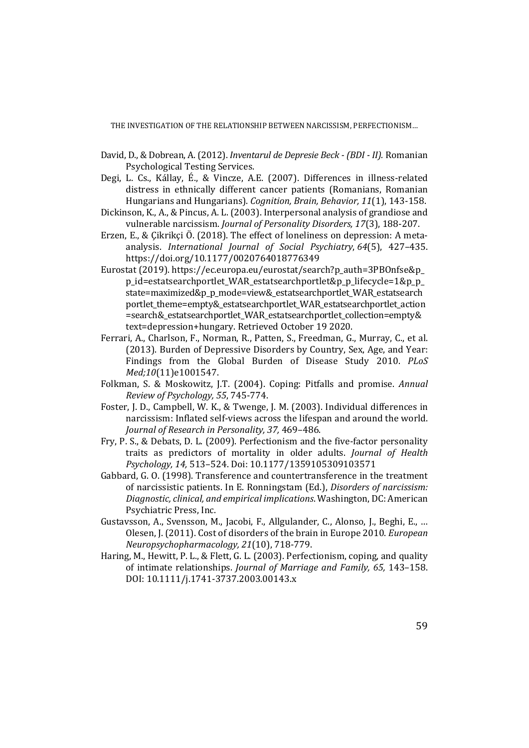- David, D., & Dobrean, A. (2012). *Inventarul de Depresie Beck (BDI II).* Romanian Psychological Testing Services.
- Degi, L. Cs., Kállay, É., & Vincze, A.E. (2007). Differences in illness-related distress in ethnically different cancer patients (Romanians, Romanian Hungarians and Hungarians). *Cognition, Brain, Behavior, 11*(1), 143-158.
- Dickinson, K., A., & Pincus, A. L. (2003). Interpersonal analysis of grandiose and vulnerable narcissism. *Journal of Personality Disorders, 17*(3), 188-207.
- Erzen, E., & Çikrikçi Ö. (2018). The effect of loneliness on depression: A metaanalysis. *International Journal of Social Psychiatry*, *64*(5), 427–435. https://doi.org/10.1177/0020764018776349
- Eurostat (2019). https://ec.europa.eu/eurostat/search?p\_auth=3PBOnfse&p\_ p\_id=estatsearchportlet\_WAR\_estatsearchportlet&p\_p\_lifecycle=1&p\_p\_ state=maximized&p\_p\_mode=view&\_estatsearchportlet\_WAR\_estatsearch portlet\_theme=empty&\_estatsearchportlet\_WAR\_estatsearchportlet\_action =search&\_estatsearchportlet\_WAR\_estatsearchportlet\_collection=empty& text=depression+hungary. Retrieved October 19 2020.
- Ferrari, A., Charlson, F., Norman, R., Patten, S., Freedman, G., Murray, C., et al. (2013). Burden of Depressive Disorders by Country, Sex, Age, and Year: Findings from the Global Burden of Disease Study 2010. *PLoS Med;10*(11)e1001547.
- Folkman, S. & Moskowitz, J.T. (2004). Coping: Pitfalls and promise. *Annual Review of Psychology, 55*, 745-774.
- Foster, J. D., Campbell, W. K., & Twenge, J. M. (2003). Individual differences in narcissism: Inflated self-views across the lifespan and around the world. *Journal of Research in Personality, 37,* 469–486.
- Fry, P. S., & Debats, D. L. (2009). Perfectionism and the five-factor personality traits as predictors of mortality in older adults. *Journal of Health Psychology, 14,* 513–524. Doi: 10.1177/1359105309103571
- Gabbard, G. O. (1998). Transference and countertransference in the treatment of narcissistic patients. In E. Ronningstam (Ed.), *Disorders of narcissism: Diagnostic, clinical, and empirical implications*. Washington, DC: American Psychiatric Press, Inc.
- Gustavsson, A., Svensson, M., Jacobi, F., Allgulander, C., Alonso, J., Beghi, E., … Olesen, J. (2011). Cost of disorders of the brain in Europe 2010. *European Neuropsychopharmacology, 21*(10), 718-779.
- Haring, M., Hewitt, P. L., & Flett, G. L. (2003). Perfectionism, coping, and quality of intimate relationships. *Journal of Marriage and Family, 65,* 143–158. DOI: 10.1111/j.1741-3737.2003.00143.x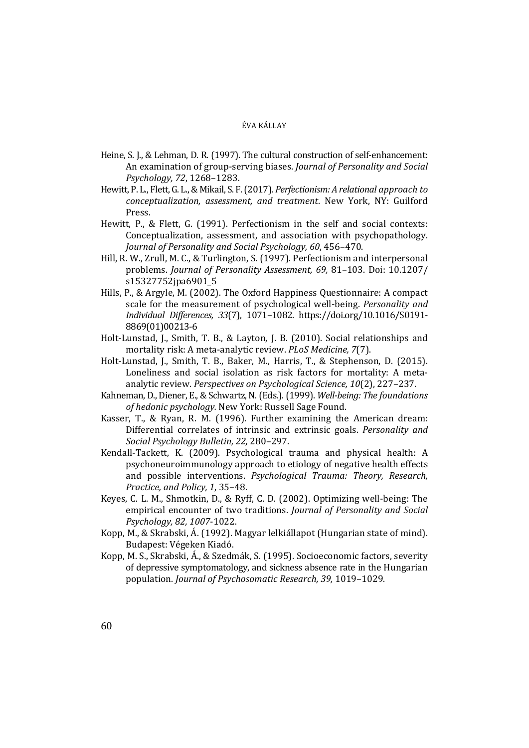- Heine, S. J., & Lehman, D. R. (1997). The cultural construction of self-enhancement: An examination of group-serving biases. *Journal of Personality and Social Psychology, 72*, 1268–1283.
- Hewitt, P. L., Flett, G. L., & Mikail, S. F. (2017). *Perfectionism: A relational approach to conceptualization, assessment, and treatment*. New York, NY: Guilford Press.
- Hewitt, P., & Flett, G. (1991). Perfectionism in the self and social contexts: Conceptualization, assessment, and association with psychopathology. *Journal of Personality and Social Psychology, 60*, 456–470.
- Hill, R. W., Zrull, M. C., & Turlington, S. (1997). Perfectionism and interpersonal problems. *Journal of Personality Assessment, 69,* 81–103. Doi: 10.1207/ s15327752jpa6901\_5
- Hills, P., & Argyle, M. (2002). The Oxford Happiness Questionnaire: A compact scale for the measurement of psychological well-being. *Personality and Individual Differences, 33*(7), 1071–1082. https://doi.org/10.1016/S0191- 8869(01)00213-6
- Holt-Lunstad, J., Smith, T. B., & Layton, J. B. (2010). Social relationships and mortality risk: A meta-analytic review. *PLoS Medicine, 7*(7).
- Holt-Lunstad, J., Smith, T. B., Baker, M., Harris, T., & Stephenson, D. (2015). Loneliness and social isolation as risk factors for mortality: A metaanalytic review. *Perspectives on Psychological Science, 10*(2), 227–237.
- Kahneman, D., Diener, E., & Schwartz, N. (Eds.). (1999). *Well-being: The foundations of hedonic psychology.* New York: Russell Sage Found.
- Kasser, T., & Ryan, R. M. (1996). Further examining the American dream: Differential correlates of intrinsic and extrinsic goals. *Personality and Social Psychology Bulletin, 22,* 280–297.
- Kendall-Tackett, K. (2009). Psychological trauma and physical health: A psychoneuroimmunology approach to etiology of negative health effects and possible interventions. *Psychological Trauma: Theory, Research, Practice, and Policy, 1*, 35–48.
- Keyes, C. L. M., Shmotkin, D., & Ryff, C. D. (2002). Optimizing well-being: The empirical encounter of two traditions. *Journal of Personality and Social Psychology, 82, 1007*-1022.
- Kopp, M., & Skrabski, Á. (1992). Magyar lelkiállapot (Hungarian state of mind). Budapest: Végeken Kiadó.
- Kopp, M. S., Skrabski, Á., & Szedmák, S. (1995). Socioeconomic factors, severity of depressive symptomatology, and sickness absence rate in the Hungarian population. *Journal of Psychosomatic Research, 39,* 1019–1029.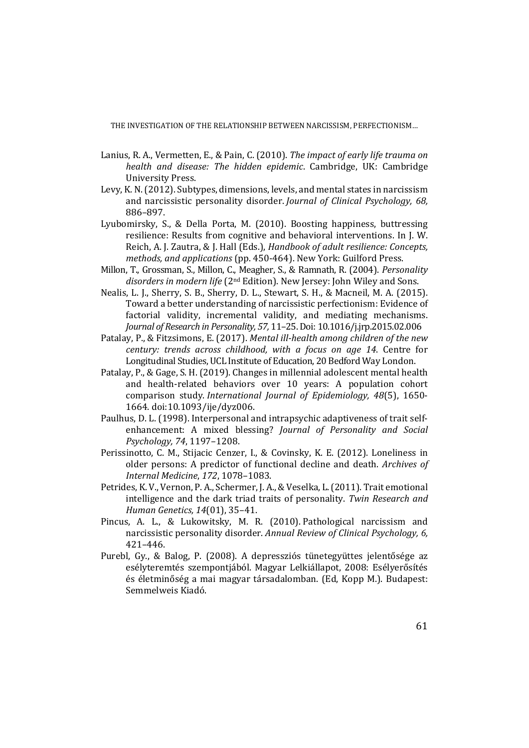- Lanius, R. A., Vermetten, E., & Pain, C. (2010). *The impact of early life trauma on health and disease: The hidden epidemic*. Cambridge, UK: Cambridge University Press.
- Levy, K. N. (2012). Subtypes, dimensions, levels, and mental states in narcissism and narcissistic personality disorder. *Journal of Clinical Psychology, 68,* 886–897.
- Lyubomirsky, S., & Della Porta, M. (2010). Boosting happiness, buttressing resilience: Results from cognitive and behavioral interventions. In J. W. Reich, A. J. Zautra, & J. Hall (Eds.), *Handbook of adult resilience: Concepts, methods, and applications* (pp. 450-464). New York: Guilford Press.
- Millon, T., Grossman, S., Millon, C., Meagher, S., & Ramnath, R. (2004). *Personality disorders in modern life* (2nd Edition). New Jersey: John Wiley and Sons.
- Nealis, L. J., Sherry, S. B., Sherry, D. L., Stewart, S. H., & Macneil, M. A. (2015). Toward a better understanding of narcissistic perfectionism: Evidence of factorial validity, incremental validity, and mediating mechanisms. *Journal of Research in Personality, 57,* 11–25. Doi: 10.1016/j.jrp.2015.02.006
- Patalay, P., & Fitzsimons, E. (2017). *Mental ill-health among children of the new century: trends across childhood, with a focus on age 14*. Centre for Longitudinal Studies, UCL Institute of Education, 20 Bedford Way London.
- Patalay, P., & Gage, S. H. (2019). Changes in millennial adolescent mental health and health-related behaviors over 10 years: A population cohort comparison study. *International Journal of Epidemiology, 48*(5), 1650- 1664. doi:10.1093/ije/dyz006.
- Paulhus, D. L. (1998). Interpersonal and intrapsychic adaptiveness of trait selfenhancement: A mixed blessing? *Journal of Personality and Social Psychology, 74*, 1197–1208.
- Perissinotto, C. M., Stijacic Cenzer, I., & Covinsky, K. E. (2012). Loneliness in older persons: A predictor of functional decline and death. *Archives of Internal Medicine*, *172*, 1078–1083.
- Petrides, K. V., Vernon, P. A., Schermer, J. A., & Veselka, L. (2011). Trait emotional intelligence and the dark triad traits of personality. *Twin Research and Human Genetics, 14*(01), 35–41.
- Pincus, A. L., & Lukowitsky, M. R. (2010). Pathological narcissism and narcissistic personality disorder. *Annual Review of Clinical Psychology, 6,* 421–446.
- Purebl, Gy., & Balog, P. (2008). A depressziós tünetegyüttes jelentősége az esélyteremtés szempontjából. Magyar Lelkiállapot, 2008: Esélyerősítés és életminőség a mai magyar társadalomban. (Ed, Kopp M.). Budapest: Semmelweis Kiadó.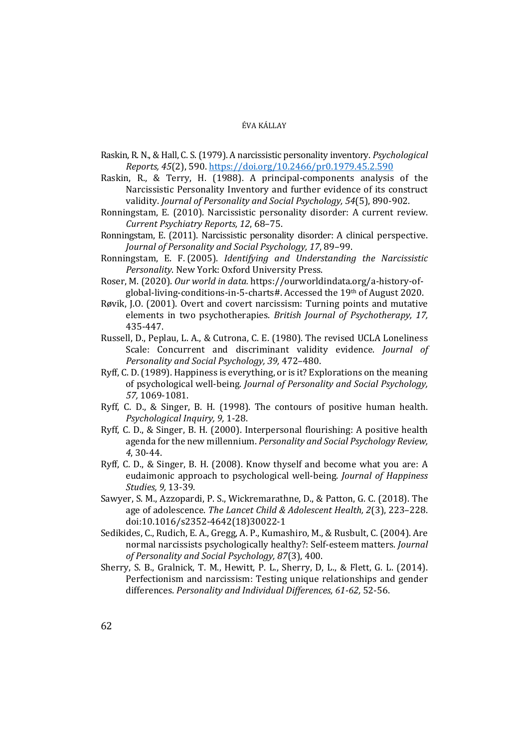- Raskin, R. N., & Hall, C. S. (1979). A narcissistic personality inventory. *Psychological Reports, 45*(2), 590. https://doi.org/10.2466/pr0.1979.45.2.590
- Raskin, R., & Terry, H. (1988). A principal-components analysis of the Narcissistic Personality Inventory and further evidence of its construct validity. *Journal of Personality and Social Psychology, 54*(5), 890-902.
- Ronningstam, E. (2010). Narcissistic personality disorder: A current review. *Current Psychiatry Reports, 12*, 68–75.
- Ronningstam, E. (2011). Narcissistic personality disorder: A clinical perspective. *Journal of Personality and Social Psychology, 17*, 89–99.
- Ronningstam, E. F. (2005). *Identifying and Understanding the Narcissistic Personality*. New York: Oxford University Press.
- Roser, M. (2020). *Our world in data.* https://ourworldindata.org/a-history-ofglobal-living-conditions-in-5-charts#. Accessed the 19th of August 2020.
- Røvik, J.O. (2001). Overt and covert narcissism: Turning points and mutative elements in two psychotherapies. *British Journal of Psychotherapy, 17,* 435-447.
- Russell, D., Peplau, L. A., & Cutrona, C. E. (1980). The revised UCLA Loneliness Scale: Concurrent and discriminant validity evidence. *Journal of Personality and Social Psychology, 39,* 472–480.
- Ryff, C. D. (1989). Happiness is everything, or is it? Explorations on the meaning of psychological well-being. *Journal of Personality and Social Psychology, 57,* 1069-1081.
- Ryff, C. D., & Singer, B. H. (1998). The contours of positive human health. *Psychological Inquiry, 9,* 1-28.
- Ryff, C. D., & Singer, B. H. (2000). Interpersonal flourishing: A positive health agenda for the new millennium. *Personality and Social Psychology Review, 4*, 30-44.
- Ryff, C. D., & Singer, B. H. (2008). Know thyself and become what you are: A eudaimonic approach to psychological well-being. *Journal of Happiness Studies, 9,* 13-39.
- Sawyer, S. M., Azzopardi, P. S., Wickremarathne, D., & Patton, G. C. (2018). The age of adolescence. *The Lancet Child & Adolescent Health, 2*(3), 223–228. doi:10.1016/s2352-4642(18)30022-1
- Sedikides, C., Rudich, E. A., Gregg, A. P., Kumashiro, M., & Rusbult, C. (2004). Are normal narcissists psychologically healthy?: Self-esteem matters. *Journal of Personality and Social Psychology, 87*(3), 400.
- Sherry, S. B., Gralnick, T. M., Hewitt, P. L., Sherry, D, L., & Flett, G. L. (2014). Perfectionism and narcissism: Testing unique relationships and gender differences. *Personality and Individual Differences, 61-62,* 52-56.